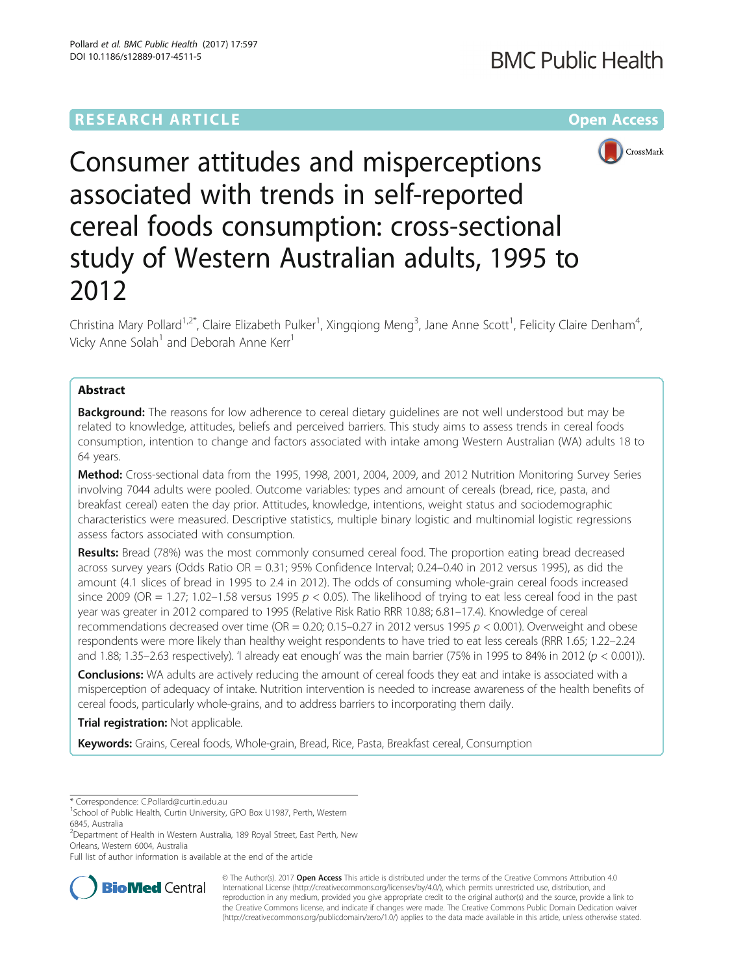

Consumer attitudes and misperceptions associated with trends in self-reported cereal foods consumption: cross-sectional study of Western Australian adults, 1995 to 2012

Christina Mary Pollard<sup>1,2\*</sup>, Claire Elizabeth Pulker<sup>1</sup>, Xingqiong Meng<sup>3</sup>, Jane Anne Scott<sup>1</sup>, Felicity Claire Denham<sup>4</sup> , Vicky Anne Solah<sup>1</sup> and Deborah Anne Kerr<sup>1</sup>

# Abstract

**Background:** The reasons for low adherence to cereal dietary guidelines are not well understood but may be related to knowledge, attitudes, beliefs and perceived barriers. This study aims to assess trends in cereal foods consumption, intention to change and factors associated with intake among Western Australian (WA) adults 18 to 64 years.

Method: Cross-sectional data from the 1995, 1998, 2001, 2004, 2009, and 2012 Nutrition Monitoring Survey Series involving 7044 adults were pooled. Outcome variables: types and amount of cereals (bread, rice, pasta, and breakfast cereal) eaten the day prior. Attitudes, knowledge, intentions, weight status and sociodemographic characteristics were measured. Descriptive statistics, multiple binary logistic and multinomial logistic regressions assess factors associated with consumption.

Results: Bread (78%) was the most commonly consumed cereal food. The proportion eating bread decreased across survey years (Odds Ratio OR = 0.31; 95% Confidence Interval; 0.24–0.40 in 2012 versus 1995), as did the amount (4.1 slices of bread in 1995 to 2.4 in 2012). The odds of consuming whole-grain cereal foods increased since 2009 (OR = 1.27; 1.02–1.58 versus 1995  $p < 0.05$ ). The likelihood of trying to eat less cereal food in the past year was greater in 2012 compared to 1995 (Relative Risk Ratio RRR 10.88; 6.81–17.4). Knowledge of cereal recommendations decreased over time (OR = 0.20; 0.15–0.27 in 2012 versus 1995  $p < 0.001$ ). Overweight and obese respondents were more likely than healthy weight respondents to have tried to eat less cereals (RRR 1.65; 1.22–2.24 and 1.88; 1.35–2.63 respectively). 'I already eat enough' was the main barrier (75% in 1995 to 84% in 2012 ( $p < 0.001$ )).

**Conclusions:** WA adults are actively reducing the amount of cereal foods they eat and intake is associated with a misperception of adequacy of intake. Nutrition intervention is needed to increase awareness of the health benefits of cereal foods, particularly whole-grains, and to address barriers to incorporating them daily.

Trial registration: Not applicable.

Keywords: Grains, Cereal foods, Whole-grain, Bread, Rice, Pasta, Breakfast cereal, Consumption

<sup>2</sup>Department of Health in Western Australia, 189 Royal Street, East Perth, New Orleans, Western 6004, Australia

Full list of author information is available at the end of the article



© The Author(s). 2017 **Open Access** This article is distributed under the terms of the Creative Commons Attribution 4.0 International License [\(http://creativecommons.org/licenses/by/4.0/](http://creativecommons.org/licenses/by/4.0/)), which permits unrestricted use, distribution, and reproduction in any medium, provided you give appropriate credit to the original author(s) and the source, provide a link to the Creative Commons license, and indicate if changes were made. The Creative Commons Public Domain Dedication waiver [\(http://creativecommons.org/publicdomain/zero/1.0/](http://creativecommons.org/publicdomain/zero/1.0/)) applies to the data made available in this article, unless otherwise stated.

<sup>\*</sup> Correspondence: [C.Pollard@curtin.edu.au](mailto:C.Pollard@curtin.edu.au) <sup>1</sup>

<sup>&</sup>lt;sup>1</sup>School of Public Health, Curtin University, GPO Box U1987, Perth, Western 6845, Australia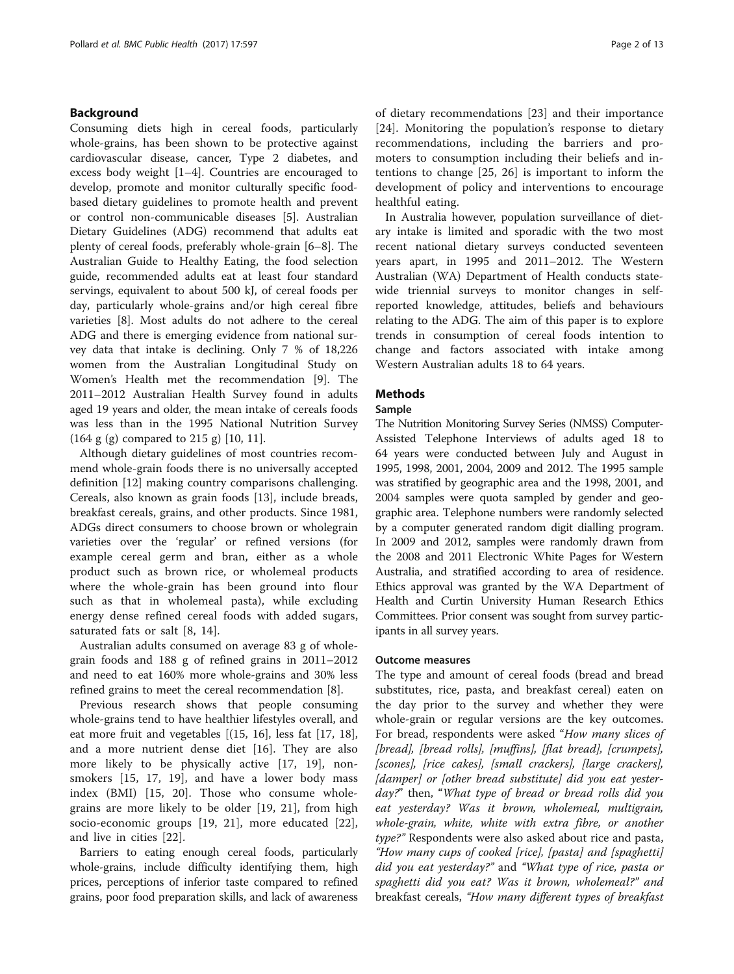## Background

Consuming diets high in cereal foods, particularly whole-grains, has been shown to be protective against cardiovascular disease, cancer, Type 2 diabetes, and excess body weight [[1](#page-11-0)–[4](#page-11-0)]. Countries are encouraged to develop, promote and monitor culturally specific foodbased dietary guidelines to promote health and prevent or control non-communicable diseases [\[5](#page-11-0)]. Australian Dietary Guidelines (ADG) recommend that adults eat plenty of cereal foods, preferably whole-grain [\[6](#page-11-0)–[8\]](#page-11-0). The Australian Guide to Healthy Eating, the food selection guide, recommended adults eat at least four standard servings, equivalent to about 500 kJ, of cereal foods per day, particularly whole-grains and/or high cereal fibre varieties [\[8](#page-11-0)]. Most adults do not adhere to the cereal ADG and there is emerging evidence from national survey data that intake is declining. Only 7 % of 18,226 women from the Australian Longitudinal Study on Women's Health met the recommendation [\[9](#page-11-0)]. The 2011–2012 Australian Health Survey found in adults aged 19 years and older, the mean intake of cereals foods was less than in the 1995 National Nutrition Survey (164 g (g) compared to 215 g) [[10](#page-11-0), [11](#page-11-0)].

Although dietary guidelines of most countries recommend whole-grain foods there is no universally accepted definition [\[12](#page-11-0)] making country comparisons challenging. Cereals, also known as grain foods [\[13\]](#page-11-0), include breads, breakfast cereals, grains, and other products. Since 1981, ADGs direct consumers to choose brown or wholegrain varieties over the 'regular' or refined versions (for example cereal germ and bran, either as a whole product such as brown rice, or wholemeal products where the whole-grain has been ground into flour such as that in wholemeal pasta), while excluding energy dense refined cereal foods with added sugars, saturated fats or salt [[8, 14](#page-11-0)].

Australian adults consumed on average 83 g of wholegrain foods and 188 g of refined grains in 2011–2012 and need to eat 160% more whole-grains and 30% less refined grains to meet the cereal recommendation [\[8](#page-11-0)].

Previous research shows that people consuming whole-grains tend to have healthier lifestyles overall, and eat more fruit and vegetables [(15, 16], less fat [[17](#page-11-0), [18](#page-11-0)], and a more nutrient dense diet [\[16](#page-11-0)]. They are also more likely to be physically active [[17, 19](#page-11-0)], non-smokers [\[15](#page-11-0), [17, 19\]](#page-11-0), and have a lower body mass index (BMI) [[15](#page-11-0), [20\]](#page-11-0). Those who consume wholegrains are more likely to be older [\[19](#page-11-0), [21](#page-11-0)], from high socio-economic groups [\[19](#page-11-0), [21\]](#page-11-0), more educated [[22](#page-11-0)], and live in cities [[22\]](#page-11-0).

Barriers to eating enough cereal foods, particularly whole-grains, include difficulty identifying them, high prices, perceptions of inferior taste compared to refined grains, poor food preparation skills, and lack of awareness

of dietary recommendations [\[23](#page-11-0)] and their importance [[24\]](#page-11-0). Monitoring the population's response to dietary recommendations, including the barriers and promoters to consumption including their beliefs and intentions to change [\[25](#page-11-0), [26](#page-11-0)] is important to inform the development of policy and interventions to encourage healthful eating.

In Australia however, population surveillance of dietary intake is limited and sporadic with the two most recent national dietary surveys conducted seventeen years apart, in 1995 and 2011–2012. The Western Australian (WA) Department of Health conducts statewide triennial surveys to monitor changes in selfreported knowledge, attitudes, beliefs and behaviours relating to the ADG. The aim of this paper is to explore trends in consumption of cereal foods intention to change and factors associated with intake among Western Australian adults 18 to 64 years.

## **Methods**

### Sample

The Nutrition Monitoring Survey Series (NMSS) Computer-Assisted Telephone Interviews of adults aged 18 to 64 years were conducted between July and August in 1995, 1998, 2001, 2004, 2009 and 2012. The 1995 sample was stratified by geographic area and the 1998, 2001, and 2004 samples were quota sampled by gender and geographic area. Telephone numbers were randomly selected by a computer generated random digit dialling program. In 2009 and 2012, samples were randomly drawn from the 2008 and 2011 Electronic White Pages for Western Australia, and stratified according to area of residence. Ethics approval was granted by the WA Department of Health and Curtin University Human Research Ethics Committees. Prior consent was sought from survey participants in all survey years.

## Outcome measures

The type and amount of cereal foods (bread and bread substitutes, rice, pasta, and breakfast cereal) eaten on the day prior to the survey and whether they were whole-grain or regular versions are the key outcomes. For bread, respondents were asked "How many slices of [bread], [bread rolls], [muffins], [flat bread], [crumpets], [scones], [rice cakes], [small crackers], [large crackers], [damper] or [other bread substitute] did you eat yesterday?" then, "What type of bread or bread rolls did you eat yesterday? Was it brown, wholemeal, multigrain, whole-grain, white, white with extra fibre, or another type?" Respondents were also asked about rice and pasta, "How many cups of cooked [rice], [pasta] and [spaghetti] did you eat yesterday?" and "What type of rice, pasta or spaghetti did you eat? Was it brown, wholemeal?" and breakfast cereals, "How many different types of breakfast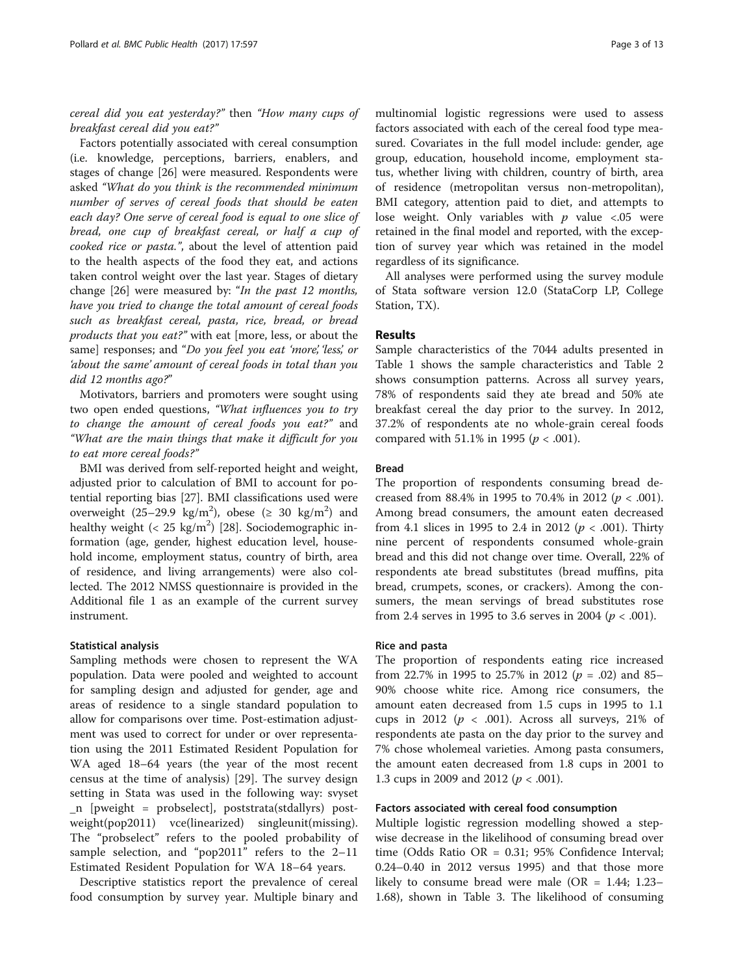cereal did you eat yesterday?" then "How many cups of breakfast cereal did you eat?"

Factors potentially associated with cereal consumption (i.e. knowledge, perceptions, barriers, enablers, and stages of change [\[26](#page-11-0)] were measured. Respondents were asked "What do you think is the recommended minimum number of serves of cereal foods that should be eaten each day? One serve of cereal food is equal to one slice of bread, one cup of breakfast cereal, or half a cup of cooked rice or pasta.", about the level of attention paid to the health aspects of the food they eat, and actions taken control weight over the last year. Stages of dietary change [\[26](#page-11-0)] were measured by: "In the past 12 months, have you tried to change the total amount of cereal foods such as breakfast cereal, pasta, rice, bread, or bread products that you eat?" with eat [more, less, or about the same] responses; and "Do you feel you eat 'more', 'less', or 'about the same' amount of cereal foods in total than you did 12 months ago?"

Motivators, barriers and promoters were sought using two open ended questions, "What influences you to try to change the amount of cereal foods you eat?" and "What are the main things that make it difficult for you to eat more cereal foods?"

BMI was derived from self-reported height and weight, adjusted prior to calculation of BMI to account for potential reporting bias [[27](#page-11-0)]. BMI classifications used were overweight (25–29.9 kg/m<sup>2</sup>), obese ( $\geq 30$  kg/m<sup>2</sup>) and healthy weight  $(< 25 \text{ kg/m}^2)$  [\[28\]](#page-11-0). Sociodemographic information (age, gender, highest education level, household income, employment status, country of birth, area of residence, and living arrangements) were also collected. The 2012 NMSS questionnaire is provided in the Additional file [1](#page-10-0) as an example of the current survey instrument.

#### Statistical analysis

Sampling methods were chosen to represent the WA population. Data were pooled and weighted to account for sampling design and adjusted for gender, age and areas of residence to a single standard population to allow for comparisons over time. Post-estimation adjustment was used to correct for under or over representation using the 2011 Estimated Resident Population for WA aged 18–64 years (the year of the most recent census at the time of analysis) [[29\]](#page-11-0). The survey design setting in Stata was used in the following way: svyset \_n [pweight = probselect], poststrata(stdallyrs) postweight(pop2011) vce(linearized) singleunit(missing). The "probselect" refers to the pooled probability of sample selection, and "pop2011" refers to the 2–11 Estimated Resident Population for WA 18–64 years.

Descriptive statistics report the prevalence of cereal food consumption by survey year. Multiple binary and

multinomial logistic regressions were used to assess factors associated with each of the cereal food type measured. Covariates in the full model include: gender, age group, education, household income, employment status, whether living with children, country of birth, area of residence (metropolitan versus non-metropolitan), BMI category, attention paid to diet, and attempts to lose weight. Only variables with  $p$  value <.05 were retained in the final model and reported, with the exception of survey year which was retained in the model regardless of its significance.

All analyses were performed using the survey module of Stata software version 12.0 (StataCorp LP, College Station, TX).

## Results

Sample characteristics of the 7044 adults presented in Table [1](#page-3-0) shows the sample characteristics and Table [2](#page-4-0) shows consumption patterns. Across all survey years, 78% of respondents said they ate bread and 50% ate breakfast cereal the day prior to the survey. In 2012, 37.2% of respondents ate no whole-grain cereal foods compared with 51.1% in 1995 ( $p < .001$ ).

### Bread

The proportion of respondents consuming bread decreased from 88.4% in 1995 to 70.4% in 2012 ( $p < .001$ ). Among bread consumers, the amount eaten decreased from 4.1 slices in 1995 to 2.4 in 2012 ( $p < .001$ ). Thirty nine percent of respondents consumed whole-grain bread and this did not change over time. Overall, 22% of respondents ate bread substitutes (bread muffins, pita bread, crumpets, scones, or crackers). Among the consumers, the mean servings of bread substitutes rose from 2.4 serves in 1995 to 3.6 serves in 2004 ( $p < .001$ ).

#### Rice and pasta

The proportion of respondents eating rice increased from 22.7% in 1995 to 25.7% in 2012 ( $p = .02$ ) and 85– 90% choose white rice. Among rice consumers, the amount eaten decreased from 1.5 cups in 1995 to 1.1 cups in 2012 ( $p < .001$ ). Across all surveys, 21% of respondents ate pasta on the day prior to the survey and 7% chose wholemeal varieties. Among pasta consumers, the amount eaten decreased from 1.8 cups in 2001 to 1.3 cups in 2009 and 2012 ( $p < .001$ ).

### Factors associated with cereal food consumption

Multiple logistic regression modelling showed a stepwise decrease in the likelihood of consuming bread over time (Odds Ratio OR = 0.31; 95% Confidence Interval; 0.24–0.40 in 2012 versus 1995) and that those more likely to consume bread were male  $(OR = 1.44; 1.23-$ 1.68), shown in Table [3.](#page-5-0) The likelihood of consuming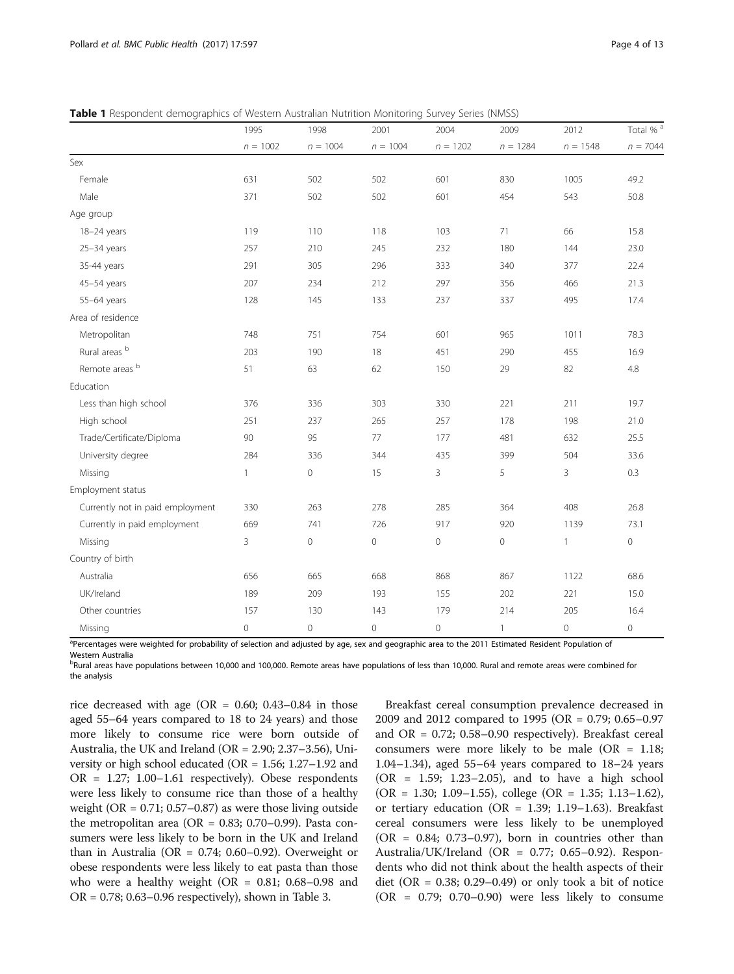<span id="page-3-0"></span>**Table 1** Respondent demographics of Western Australian Nutrition Monitoring Survey Series (NMSS)

|                                  | 1995         | 1998                | 2001        | 2004       | 2009                | 2012         | Total % <sup>a</sup> |
|----------------------------------|--------------|---------------------|-------------|------------|---------------------|--------------|----------------------|
|                                  | $n = 1002$   | $n = 1004$          | $n = 1004$  | $n = 1202$ | $n = 1284$          | $n = 1548$   | $n = 7044$           |
| Sex                              |              |                     |             |            |                     |              |                      |
| Female                           | 631          | 502                 | 502         | 601        | 830                 | 1005         | 49.2                 |
| Male                             | 371          | 502                 | 502         | 601        | 454                 | 543          | 50.8                 |
| Age group                        |              |                     |             |            |                     |              |                      |
| 18-24 years                      | 119          | 110                 | 118         | 103        | 71                  | 66           | 15.8                 |
| $25 - 34$ years                  | 257          | 210                 | 245         | 232        | 180                 | 144          | 23.0                 |
| 35-44 years                      | 291          | 305                 | 296         | 333        | 340                 | 377          | 22.4                 |
| 45-54 years                      | 207          | 234                 | 212         | 297        | 356                 | 466          | 21.3                 |
| 55-64 years                      | 128          | 145                 | 133         | 237        | 337                 | 495          | 17.4                 |
| Area of residence                |              |                     |             |            |                     |              |                      |
| Metropolitan                     | 748          | 751                 | 754         | 601        | 965                 | 1011         | 78.3                 |
| Rural areas b                    | 203          | 190                 | 18          | 451        | 290                 | 455          | 16.9                 |
| Remote areas b                   | 51           | 63                  | 62          | 150        | 29                  | 82           | 4.8                  |
| Education                        |              |                     |             |            |                     |              |                      |
| Less than high school            | 376          | 336                 | 303         | 330        | 221                 | 211          | 19.7                 |
| High school                      | 251          | 237                 | 265         | 257        | 178                 | 198          | 21.0                 |
| Trade/Certificate/Diploma        | 90           | 95                  | 77          | 177        | 481                 | 632          | 25.5                 |
| University degree                | 284          | 336                 | 344         | 435        | 399                 | 504          | 33.6                 |
| Missing                          | $\mathbf{1}$ | 0                   | 15          | 3          | 5                   | 3            | 0.3                  |
| Employment status                |              |                     |             |            |                     |              |                      |
| Currently not in paid employment | 330          | 263                 | 278         | 285        | 364                 | 408          | 26.8                 |
| Currently in paid employment     | 669          | 741                 | 726         | 917        | 920                 | 1139         | 73.1                 |
| Missing                          | 3            | 0                   | 0           | 0          | $\mathsf{O}\xspace$ | $\mathbf{1}$ | $\mathsf{O}\xspace$  |
| Country of birth                 |              |                     |             |            |                     |              |                      |
| Australia                        | 656          | 665                 | 668         | 868        | 867                 | 1122         | 68.6                 |
| UK/Ireland                       | 189          | 209                 | 193         | 155        | 202                 | 221          | 15.0                 |
| Other countries                  | 157          | 130                 | 143         | 179        | 214                 | 205          | 16.4                 |
| Missing                          | $\mathbf 0$  | $\mathsf{O}\xspace$ | $\mathbf 0$ | 0          | $\mathbf{1}$        | $\mathbf 0$  | $\mathbf 0$          |

a<br>Percentages were weighted for probability of selection and adjusted by age, sex and geographic area to the 2011 Estimated Resident Population of Western Australia

b<br>Bural areas have populations between 10,000 and 100,000. Remote areas have populations of less than 10,000. Rural and remote areas were combined for the analysis

rice decreased with age (OR =  $0.60$ ;  $0.43-0.84$  in those aged 55–64 years compared to 18 to 24 years) and those more likely to consume rice were born outside of Australia, the UK and Ireland (OR = 2.90; 2.37–3.56), University or high school educated (OR = 1.56; 1.27–1.92 and OR = 1.27; 1.00–1.61 respectively). Obese respondents were less likely to consume rice than those of a healthy weight ( $OR = 0.71$ ;  $0.57-0.87$ ) as were those living outside the metropolitan area (OR =  $0.83$ ; 0.70–0.99). Pasta consumers were less likely to be born in the UK and Ireland than in Australia (OR =  $0.74$ ; 0.60–0.92). Overweight or obese respondents were less likely to eat pasta than those who were a healthy weight (OR =  $0.81$ ;  $0.68-0.98$  and  $OR = 0.78$ ; 0.63–0.96 respectively), shown in Table [3](#page-5-0).

Breakfast cereal consumption prevalence decreased in 2009 and 2012 compared to 1995 (OR = 0.79; 0.65–0.97 and OR = 0.72; 0.58–0.90 respectively). Breakfast cereal consumers were more likely to be male  $(OR = 1.18;$ 1.04–1.34), aged 55–64 years compared to 18–24 years  $(OR = 1.59; 1.23-2.05)$ , and to have a high school  $(OR = 1.30; 1.09-1.55)$ , college  $(OR = 1.35; 1.13-1.62)$ , or tertiary education (OR =  $1.39$ ; 1.19–1.63). Breakfast cereal consumers were less likely to be unemployed (OR = 0.84; 0.73–0.97), born in countries other than Australia/UK/Ireland (OR = 0.77; 0.65–0.92). Respondents who did not think about the health aspects of their diet (OR =  $0.38$ ;  $0.29-0.49$ ) or only took a bit of notice  $(OR = 0.79; 0.70-0.90)$  were less likely to consume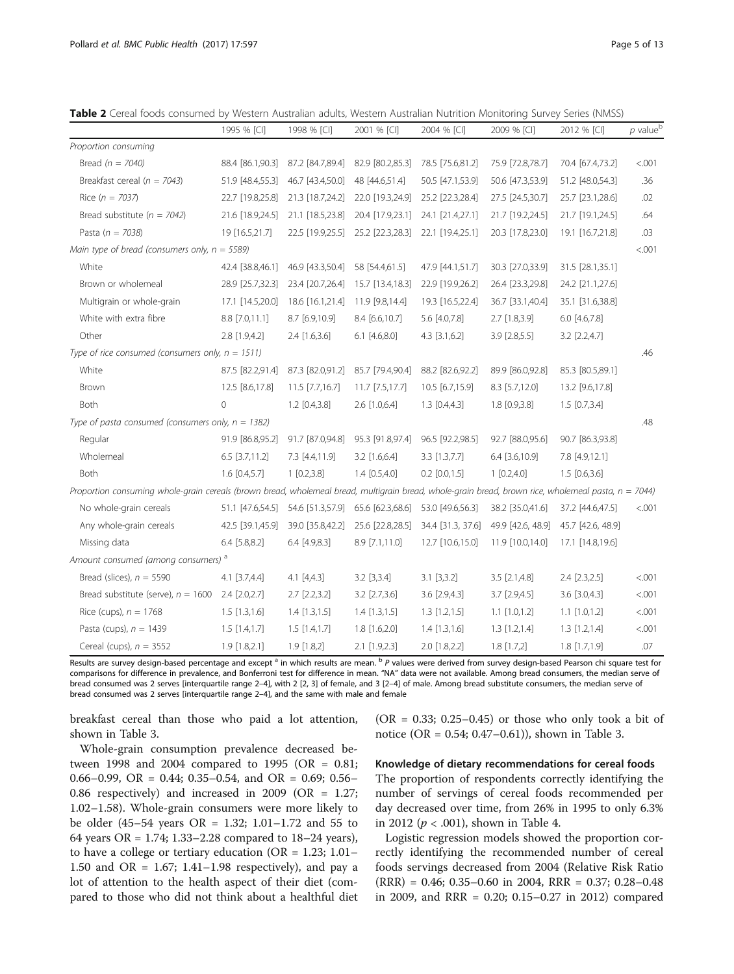<span id="page-4-0"></span>Table 2 Cereal foods consumed by Western Australian adults, Western Australian Nutrition Monitoring Survey Series (NMSS)

|                                                                                                                                                     | 1995 % [CI]      | 1998 % [CI]         | 2001 % [CI]      | 2004 % [CI]       | 2009 % [CI]        | 2012 % [CI]        | $p$ value <sup><math>t</math></sup> |
|-----------------------------------------------------------------------------------------------------------------------------------------------------|------------------|---------------------|------------------|-------------------|--------------------|--------------------|-------------------------------------|
| Proportion consuming                                                                                                                                |                  |                     |                  |                   |                    |                    |                                     |
| Bread $(n = 7040)$                                                                                                                                  | 88.4 [86.1,90.3] | 87.2 [84.7,89.4]    | 82.9 [80.2,85.3] | 78.5 [75.6,81.2]  | 75.9 [72.8,78.7]   | 70.4 [67.4,73.2]   | < .001                              |
| Breakfast cereal ( $n = 7043$ )                                                                                                                     | 51.9 [48.4,55.3] | 46.7 [43.4,50.0]    | 48 [44.6,51.4]   | 50.5 [47.1,53.9]  | 50.6 [47.3,53.9]   | 51.2 [48.0,54.3]   | .36                                 |
| Rice $(n = 7037)$                                                                                                                                   | 22.7 [19.8,25.8] | 21.3 [18.7,24.2]    | 22.0 [19.3,24.9] | 25.2 [22.3,28.4]  | 27.5 [24.5,30.7]   | 25.7 [23.1,28.6]   | .02                                 |
| Bread substitute ( $n = 7042$ )                                                                                                                     | 21.6 [18.9,24.5] | 21.1 [18.5,23.8]    | 20.4 [17.9,23.1] | 24.1 [21.4,27.1]  | 21.7 [19.2,24.5]   | 21.7 [19.1,24.5]   | .64                                 |
| Pasta ( $n = 7038$ )                                                                                                                                | 19 [16.5,21.7]   | 22.5 [19.9,25.5]    | 25.2 [22.3,28.3] | 22.1 [19.4,25.1]  | 20.3 [17.8,23.0]   | 19.1 [16.7,21.8]   | .03                                 |
| Main type of bread (consumers only, $n = 5589$ )                                                                                                    |                  |                     |                  |                   |                    |                    | < .001                              |
| White                                                                                                                                               | 42.4 [38.8,46.1] | 46.9 [43.3,50.4]    | 58 [54.4,61.5]   | 47.9 [44.1,51.7]  | 30.3 [27.0,33.9]   | 31.5 [28.1,35.1]   |                                     |
| Brown or wholemeal                                                                                                                                  | 28.9 [25.7,32.3] | 23.4 [20.7,26.4]    | 15.7 [13.4,18.3] | 22.9 [19.9,26.2]  | 26.4 [23.3,29.8]   | 24.2 [21.1,27.6]   |                                     |
| Multigrain or whole-grain                                                                                                                           | 17.1 [14.5,20.0] | 18.6 [16.1,21.4]    | 11.9 [9.8,14.4]  | 19.3 [16.5,22.4]  | 36.7 [33.1,40.4]   | 35.1 [31.6,38.8]   |                                     |
| White with extra fibre                                                                                                                              | 8.8 [7.0,11.1]   | 8.7 [6.9,10.9]      | 8.4 [6.6,10.7]   | 5.6 [4.0,7.8]     | $2.7$ [1.8,3.9]    | $6.0$ [4.6,7.8]    |                                     |
| Other                                                                                                                                               | 2.8 [1.9,4.2]    | $2.4$ [1.6,3.6]     | $6.1$ [4.6,8.0]  | 4.3 [3.1,6.2]     | 3.9 [2.8,5.5]      | 3.2 [2.2,4.7]      |                                     |
| Type of rice consumed (consumers only, $n = 1511$ )                                                                                                 |                  |                     |                  |                   |                    |                    | .46                                 |
| White                                                                                                                                               | 87.5 [82.2,91.4] | 87.3 [82.0,91.2]    | 85.7 [79.4,90.4] | 88.2 [82.6,92.2]  | 89.9 [86.0,92.8]   | 85.3 [80.5,89.1]   |                                     |
| Brown                                                                                                                                               | 12.5 [8.6,17.8]  | $11.5$ [7.7,16.7]   | 11.7 [7.5,17.7]  | 10.5 [6.7,15.9]   | 8.3 [5.7,12.0]     | 13.2 [9.6,17.8]    |                                     |
| Both                                                                                                                                                | $\Omega$         | $1.2$ [0.4,3.8]     | 2.6 [1.0,6.4]    | $1.3$ [0.4,4.3]   | $1.8$ [0.9,3.8]    | $1.5$ [0.7,3.4]    |                                     |
| Type of pasta consumed (consumers only, $n = 1382$ )                                                                                                |                  |                     |                  |                   |                    |                    | .48                                 |
| Regular                                                                                                                                             | 91.9 [86.8,95.2] | 91.7 [87.0,94.8]    | 95.3 [91.8,97.4] | 96.5 [92.2,98.5]  | 92.7 [88.0,95.6]   | 90.7 [86.3,93.8]   |                                     |
| Wholemeal                                                                                                                                           | $6.5$ [3.7,11.2] | 7.3 [4.4,11.9]      | $3.2$ [1.6,6.4]  | $3.3$ [1.3,7.7]   | $6.4$ [3.6,10.9]   | 7.8 [4.9,12.1]     |                                     |
| Both                                                                                                                                                | 1.6 [0.4,5.7]    | 1 [0.2, 3.8]        | $1.4$ [0.5,4.0]  | $0.2$ [0.0,1.5]   | 1 [0.2, 4.0]       | $1.5$ [0.6,3.6]    |                                     |
| Proportion consuming whole-grain cereals (brown bread, wholemeal bread, multigrain bread, whole-grain bread, brown rice, wholemeal pasta, n = 7044) |                  |                     |                  |                   |                    |                    |                                     |
| No whole-grain cereals                                                                                                                              | 51.1 [47.6,54.5] | 54.6 [51.3,57.9]    | 65.6 [62.3,68.6] | 53.0 [49.6,56.3]  | 38.2 [35.0,41.6]   | 37.2 [44.6,47.5]   | < 0.001                             |
| Any whole-grain cereals                                                                                                                             | 42.5 [39.1,45.9] | 39.0 [35.8,42.2]    | 25.6 [22.8,28.5] | 34.4 [31.3, 37.6] | 49.9 [42.6, 48.9]  | 45.7 [42.6, 48.9]  |                                     |
| Missing data                                                                                                                                        | $6.4$ [5.8,8.2]  | 6.4 [4.9,8.3]       | 8.9 [7.1,11.0]   | 12.7 [10.6,15.0]  | 11.9 [10.0,14.0]   | 17.1 [14.8,19.6]   |                                     |
| Amount consumed (among consumers) <sup>a</sup>                                                                                                      |                  |                     |                  |                   |                    |                    |                                     |
| Bread (slices), $n = 5590$                                                                                                                          | $4.1$ [3.7,4.4]  | $4.1$ [4,4.3]       | 3.2 [3,3.4]      | 3.1 [3,3.2]       | $3.5$ $[2.1, 4.8]$ | $2.4$ [2.3,2.5]    | < .001                              |
| Bread substitute (serve), $n = 1600$                                                                                                                | $2.4$ [2.0,2.7]  | $2.7$ [ $2.2,3.2$ ] | 3.2 [2.7,3.6]    | 3.6 [2.9,4.3]     | 3.7 [2.9,4.5]      | 3.6 [3.0,4.3]      | < .001                              |
| Rice (cups), $n = 1768$                                                                                                                             | $1.5$ [1.3,1.6]  | $1.4$ [1.3,1.5]     | $1.4$ [1.3,1.5]  | $1.3$ [1.2,1.5]   | $1.1$ $[1.0, 1.2]$ | $1.1$ $[1.0, 1.2]$ | < .001                              |
| Pasta (cups), $n = 1439$                                                                                                                            | $1.5$ [1.4,1.7]  | $1.5$ [1.4,1.7]     | $1.8$ [1.6,2.0]  | $1.4$ [1.3,1.6]   | $1.3$ [1.2,1.4]    | $1.3$ [1.2,1.4]    | < .001                              |
| Cereal (cups), $n = 3552$                                                                                                                           | $1.9$ [1.8,2.1]  | 1.9 [1.8,2]         | $2.1$ [1.9,2.3]  | 2.0 [1.8,2.2]     | $1.8$ [1.7,2]      | $1.8$ [1.7,1.9]    | .07                                 |
|                                                                                                                                                     |                  |                     |                  |                   |                    |                    |                                     |

Results are survey design-based percentage and except<sup>a</sup> in which results are mean.  $\frac{b}{p}$  values were derived from survey design-based Pearson chi square test for comparisons for difference in prevalence, and Bonferroni test for difference in mean. "NA" data were not available. Among bread consumers, the median serve of bread consumed was 2 serves [interquartile range 2–4], with 2 [[2](#page-11-0), [3](#page-11-0)] of female, and 3 [\[2](#page-11-0)–[4](#page-11-0)] of male. Among bread substitute consumers, the median serve of bread consumed was 2 serves [interquartile range 2–4], and the same with male and female

breakfast cereal than those who paid a lot attention, shown in Table [3.](#page-5-0)

Whole-grain consumption prevalence decreased between 1998 and 2004 compared to 1995 (OR = 0.81; 0.66–0.99, OR = 0.44; 0.35–0.54, and OR = 0.69; 0.56– 0.86 respectively) and increased in 2009 (OR = 1.27; 1.02–1.58). Whole-grain consumers were more likely to be older (45–54 years OR = 1.32; 1.01–1.72 and 55 to 64 years OR = 1.74; 1.33–2.28 compared to 18–24 years), to have a college or tertiary education ( $OR = 1.23$ ; 1.01– 1.50 and OR = 1.67; 1.41–1.98 respectively), and pay a lot of attention to the health aspect of their diet (compared to those who did not think about a healthful diet

 $(OR = 0.33; 0.25-0.45)$  or those who only took a bit of notice (OR =  $0.54$ ;  $0.47-0.61$ )), shown in Table [3.](#page-5-0)

## Knowledge of dietary recommendations for cereal foods

The proportion of respondents correctly identifying the number of servings of cereal foods recommended per day decreased over time, from 26% in 1995 to only 6.3% in 2012 ( $p < .001$ ), shown in Table [4](#page-6-0).

Logistic regression models showed the proportion correctly identifying the recommended number of cereal foods servings decreased from 2004 (Relative Risk Ratio  $(RRR) = 0.46$ ; 0.35–0.60 in 2004, RRR = 0.37; 0.28–0.48 in 2009, and RRR = 0.20; 0.15–0.27 in 2012) compared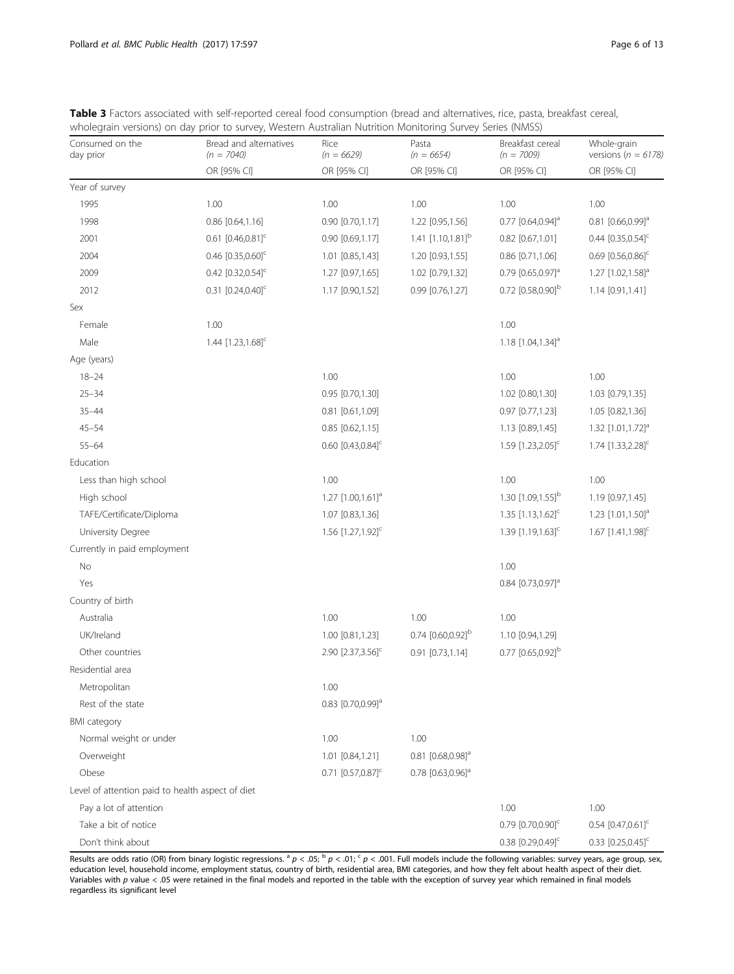| Consumed on the<br>day prior                     | Bread and alternatives<br>$(n = 7040)$ | Rice<br>$(n = 6629)$               | Pasta<br>$(n = 6654)$            | Breakfast cereal<br>$(n = 7009)$   | Whole-grain<br>versions ( $n = 6178$ ) |
|--------------------------------------------------|----------------------------------------|------------------------------------|----------------------------------|------------------------------------|----------------------------------------|
|                                                  | OR [95% CI]                            | OR [95% CI]                        | OR [95% CI]                      | OR [95% CI]                        | OR [95% CI]                            |
| Year of survey                                   |                                        |                                    |                                  |                                    |                                        |
| 1995                                             | 1.00                                   | 1.00                               | 1.00                             | 1.00                               | 1.00                                   |
| 1998                                             | $0.86$ [0.64,1.16]                     | 0.90 [0.70,1.17]                   | 1.22 [0.95,1.56]                 | $0.77$ [0.64,0.94] <sup>a</sup>    | $0.81$ [0.66,0.99] <sup>a</sup>        |
| 2001                                             | $0.61$ [0.46,0.81] <sup>c</sup>        | $0.90$ $[0.69, 1.17]$              | 1.41 $[1.10, 1.81]$ <sup>b</sup> | $0.82$ [0.67,1.01]                 | 0.44 $[0.35, 0.54]$ <sup>c</sup>       |
| 2004                                             | $0.46$ [0.35,0.60] <sup>c</sup>        | 1.01 [0.85,1.43]                   | 1.20 [0.93,1.55]                 | 0.86 [0.71,1.06]                   | $0.69$ [0.56,0.86] <sup>c</sup>        |
| 2009                                             | 0.42 $[0.32, 0.54]$ <sup>c</sup>       | 1.27 [0.97,1.65]                   | 1.02 [0.79,1.32]                 | $0.79$ $[0.65, 0.97]$ <sup>a</sup> | $1.27$ $[1.02, 1.58]$ <sup>a</sup>     |
| 2012                                             | $0.31$ $[0.24, 0.40]$ <sup>c</sup>     | 1.17 [0.90,1.52]                   | 0.99 [0.76,1.27]                 | $0.72$ [0.58,0.90] <sup>b</sup>    | 1.14 [0.91,1.41]                       |
| Sex                                              |                                        |                                    |                                  |                                    |                                        |
| Female                                           | 1.00                                   |                                    |                                  | 1.00                               |                                        |
| Male                                             | 1.44 $[1.23, 1.68]$ <sup>c</sup>       |                                    |                                  | 1.18 [1.04,1.34] <sup>a</sup>      |                                        |
| Age (years)                                      |                                        |                                    |                                  |                                    |                                        |
| $18 - 24$                                        |                                        | 1.00                               |                                  | 1.00                               | 1.00                                   |
| $25 - 34$                                        |                                        | 0.95 [0.70,1.30]                   |                                  | 1.02 [0.80,1.30]                   | 1.03 [0.79,1.35]                       |
| $35 - 44$                                        |                                        | 0.81 [0.61,1.09]                   |                                  | 0.97 [0.77,1.23]                   | 1.05 [0.82,1.36]                       |
| $45 - 54$                                        |                                        | $0.85$ [0.62,1.15]                 |                                  | 1.13 [0.89,1.45]                   | $1.32$ [1.01,1.72] <sup>a</sup>        |
| $55 - 64$                                        |                                        | $0.60$ [0.43,0.84] <sup>c</sup>    |                                  | 1.59 $[1.23, 2.05]$ <sup>c</sup>   | $1.74$ [1.33,2.28] <sup>c</sup>        |
| Education                                        |                                        |                                    |                                  |                                    |                                        |
| Less than high school                            |                                        | 1.00                               |                                  | 1.00                               | 1.00                                   |
| High school                                      |                                        | 1.27 [1.00,1.61] <sup>a</sup>      |                                  | 1.30 $[1.09, 1.55]$ <sup>b</sup>   | 1.19 [0.97,1.45]                       |
| TAFE/Certificate/Diploma                         |                                        | 1.07 [0.83,1.36]                   |                                  | 1.35 $[1.13, 1.62]$ <sup>c</sup>   | 1.23 [1.01,1.50] <sup>a</sup>          |
| University Degree                                |                                        | 1.56 $[1.27, 1.92]$ <sup>c</sup>   |                                  | 1.39 $[1.19, 1.63]$ <sup>c</sup>   | 1.67 $[1.41, 1.98]$ <sup>c</sup>       |
| Currently in paid employment                     |                                        |                                    |                                  |                                    |                                        |
| No                                               |                                        |                                    |                                  | 1.00                               |                                        |
| Yes                                              |                                        |                                    |                                  | $0.84$ [0.73,0.97] <sup>a</sup>    |                                        |
| Country of birth                                 |                                        |                                    |                                  |                                    |                                        |
| Australia                                        |                                        | 1.00                               | 1.00                             | 1.00                               |                                        |
| UK/Ireland                                       |                                        | 1.00 [0.81,1.23]                   | $0.74$ [0.60,0.92] <sup>b</sup>  | 1.10 [0.94,1.29]                   |                                        |
| Other countries                                  |                                        | 2.90 [2.37,3.56] <sup>c</sup>      | 0.91 [0.73,1.14]                 | $0.77$ [0.65,0.92] <sup>b</sup>    |                                        |
| Residential area                                 |                                        |                                    |                                  |                                    |                                        |
| Metropolitan                                     |                                        | 1.00                               |                                  |                                    |                                        |
| Rest of the state                                |                                        | $0.83$ [0.70,0.99] <sup>a</sup>    |                                  |                                    |                                        |
| <b>BMI</b> category                              |                                        |                                    |                                  |                                    |                                        |
| Normal weight or under                           |                                        | 1.00                               | 1.00                             |                                    |                                        |
| Overweight                                       |                                        | 1.01 [0.84,1.21]                   | $0.81$ [0.68,0.98] <sup>a</sup>  |                                    |                                        |
| Obese                                            |                                        | $0.71$ $[0.57, 0.87]$ <sup>c</sup> | $0.78$ [0.63,0.96] <sup>a</sup>  |                                    |                                        |
| Level of attention paid to health aspect of diet |                                        |                                    |                                  |                                    |                                        |
| Pay a lot of attention                           |                                        |                                    |                                  | 1.00                               | 1.00                                   |
| Take a bit of notice                             |                                        |                                    |                                  | $0.79$ $[0.70, 0.90]$ <sup>c</sup> | $0.54$ [0.47,0.61] <sup>c</sup>        |
| Don't think about                                |                                        |                                    |                                  | $0.38$ [0.29,0.49] <sup>c</sup>    | $0.33$ [0.25,0.45] <sup>c</sup>        |

<span id="page-5-0"></span>Table 3 Factors associated with self-reported cereal food consumption (bread and alternatives, rice, pasta, breakfast cereal, wholegrain versions) on day prior to survey, Western Australian Nutrition Monitoring Survey Series (NMSS)

Results are odds ratio (OR) from binary logistic regressions. <sup>a</sup>  $p < .05$ ; <sup>b</sup>  $p < .01$ ; <sup>c</sup>  $p < .001$ . Full models include the following variables: survey years, age group, sex, education level, household income, employment status, country of birth, residential area, BMI categories, and how they felt about health aspect of their diet. Variables with p value < .05 were retained in the final models and reported in the table with the exception of survey year which remained in final models regardless its significant level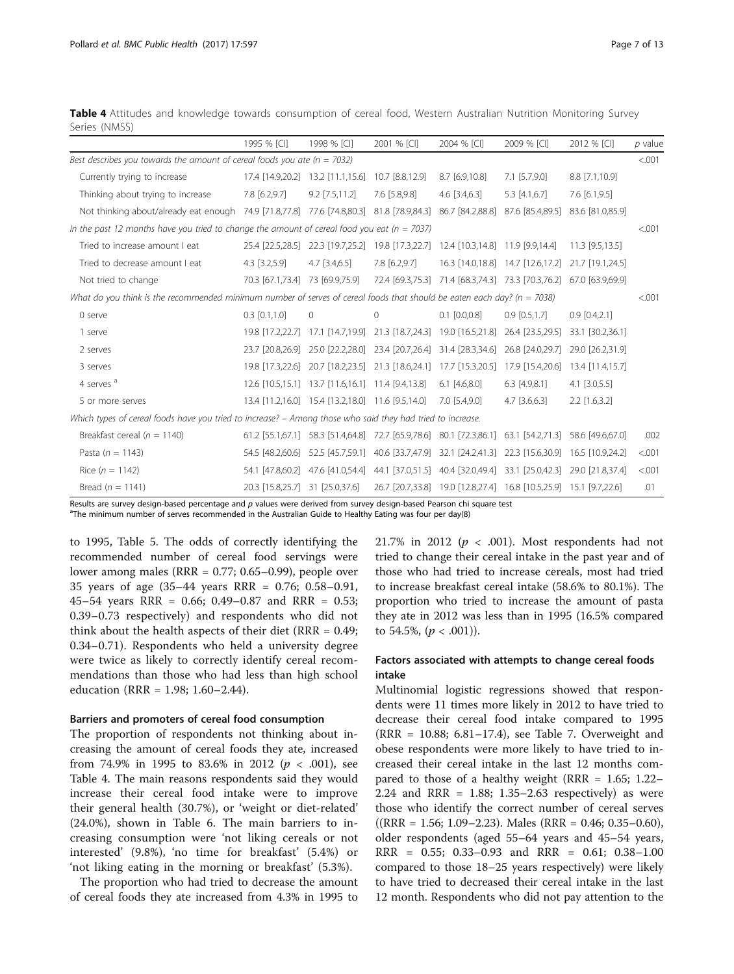<span id="page-6-0"></span>Table 4 Attitudes and knowledge towards consumption of cereal food, Western Australian Nutrition Monitoring Survey Series (NMSS)

|                                                                                                                             | 1995 % [CI]                                                                                                | 1998 % [CI]                                       | 2001 % [CI]      | 2004 % [CI]                                        | 2009 % [CI]                                                         | 2012 % [CI]      | $p$ value |  |
|-----------------------------------------------------------------------------------------------------------------------------|------------------------------------------------------------------------------------------------------------|---------------------------------------------------|------------------|----------------------------------------------------|---------------------------------------------------------------------|------------------|-----------|--|
| Best describes you towards the amount of cereal foods you ate ( $n = 7032$ )                                                |                                                                                                            |                                                   |                  |                                                    |                                                                     |                  | < 0.001   |  |
| Currently trying to increase                                                                                                | 17.4 [14.9,20.2]                                                                                           | 13.2 [11.1,15.6]                                  | 10.7 [8.8,12.9]  | 8.7 [6.9,10.8]                                     | $7.1$ [5.7,9.0]                                                     | 8.8 [7.1,10.9]   |           |  |
| Thinking about trying to increase                                                                                           | 7.8 [6.2,9.7]                                                                                              | $9.2$ [7.5,11.2]                                  | 7.6 [5.8,9.8]    | $4.6$ [3.4,6.3]                                    | $5.3$ [4.1,6.7]                                                     | 7.6 [6.1,9.5]    |           |  |
| Not thinking about/already eat enough 74.9 [71.8,77.8] 77.6 [74.8,80.3] 81.8 [78.9,84.3]                                    |                                                                                                            |                                                   |                  | 86.7 [84.2,88.8]                                   | 87.6 [85.4,89.5]                                                    | 83.6 [81.0,85.9] |           |  |
| In the past 12 months have you tried to change the amount of cereal food you eat ( $n = 7037$ )                             |                                                                                                            |                                                   |                  |                                                    |                                                                     |                  | < 0.001   |  |
| Tried to increase amount I eat                                                                                              |                                                                                                            | 25.4 [22.5,28.5] 22.3 [19.7,25.2]                 | 19.8 [17.3,22.7] | 12.4 [10.3,14.8]                                   | 11.9 [9.9,14.4]                                                     | 11.3 [9.5,13.5]  |           |  |
| Tried to decrease amount I eat                                                                                              | $4.3$ [3.2,5.9]                                                                                            | $4.7$ [3.4,6.5]                                   | $7.8$ [6.2,9.7]  | 16.3 [14.0,18.8]                                   | 14.7 [12.6,17.2]                                                    | 21.7 [19.1,24.5] |           |  |
| Not tried to change                                                                                                         | 70.3 [67.1,73.4] 73 [69.9,75.9]                                                                            |                                                   |                  | 72.4 [69.3,75.3] 71.4 [68.3,74.3] 73.3 [70.3,76.2] |                                                                     | 67.0 [63.9,69.9] |           |  |
| What do you think is the recommended minimum number of serves of cereal foods that should be eaten each day? ( $n = 7038$ ) |                                                                                                            |                                                   |                  |                                                    |                                                                     |                  | < 0.001   |  |
| 0 serve                                                                                                                     | $0.3$ [0.1,1.0]                                                                                            | $\circ$                                           | $\Omega$         | $0.1$ $[0.0, 0.8]$                                 | $0.9$ [0.5,1.7]                                                     | $0.9$ [0.4,2.1]  |           |  |
| 1 serve                                                                                                                     |                                                                                                            | 19.8 [17.2,22.7] 17.1 [14.7,19.9]                 | 21.3 [18.7,24.3] | 19.0 [16.5,21.8]                                   | 26.4 [23.5,29.5]                                                    | 33.1 [30.2,36.1] |           |  |
| 2 serves                                                                                                                    | 23.7 [20.8.26.9]                                                                                           | 25.0 [22.2,28.0]                                  |                  | 23.4 [20.7,26.4] 31.4 [28.3,34.6]                  | 26.8 [24.0,29.7]                                                    | 29.0 [26.2,31.9] |           |  |
| 3 serves                                                                                                                    | 19.8 [17.3,22.6]                                                                                           | 20.7 [18.2,23.5]                                  | 21.3 [18.6,24.1] | 17.7 [15.3,20.5]                                   | 17.9 [15.4,20.6]                                                    | 13.4 [11.4,15.7] |           |  |
| 4 serves <sup>a</sup>                                                                                                       |                                                                                                            | 12.6 [10.5,15.1] 13.7 [11.6,16.1] 11.4 [9.4,13.8] |                  | $6.1$ [4.6,8.0]                                    | $6.3$ [4.9,8.1]                                                     | $4.1$ [3.0,5.5]  |           |  |
| 5 or more serves                                                                                                            |                                                                                                            | 13.4 [11.2,16.0] 15.4 [13.2,18.0] 11.6 [9.5,14.0] |                  | 7.0 [5.4,9.0]                                      | $4.7$ [3.6,6.3]                                                     | $2.2$ [1.6,3.2]  |           |  |
|                                                                                                                             | Which types of cereal foods have you tried to increase? - Among those who said they had tried to increase. |                                                   |                  |                                                    |                                                                     |                  |           |  |
| Breakfast cereal ( $n = 1140$ )                                                                                             | 61.2 [55.1.67.1]                                                                                           | 58.3 [51.4,64.8]                                  |                  |                                                    | 72.7 [65.9,78.6] 80.1 [72.3,86.1] 63.1 [54.2,71.3] 58.6 [49.6,67.0] |                  | .002      |  |
| Pasta ( $n = 1143$ )                                                                                                        | 54.5 [48.2.60.6]                                                                                           | 52.5 [45.7,59.1]                                  |                  | 40.6 [33.7,47.9] 32.1 [24.2,41.3]                  | 22.3 [15.6,30.9]                                                    | 16.5 [10.9.24.2] | < 0.001   |  |
| Rice $(n = 1142)$                                                                                                           | 54.1 [47.8,60.2]                                                                                           | 47.6 [41.0,54.4]                                  | 44.1 [37.0,51.5] | 40.4 [32.0,49.4]                                   | 33.1 [25.0,42.3]                                                    | 29.0 [21.8,37.4] | < 0.001   |  |
| Bread $(n = 1141)$                                                                                                          | 20.3 [15.8,25.7]                                                                                           | 31 [25.0,37.6]                                    |                  |                                                    | 26.7 [20.7,33.8] 19.0 [12.8,27.4] 16.8 [10.5,25.9] 15.1 [9.7,22.6]  |                  | .01       |  |

Results are survey design-based percentage and p values were derived from survey design-based Pearson chi square test

The minimum number of serves recommended in the Australian Guide to Healthy Eating was four per day(8)

to 1995, Table [5](#page-7-0). The odds of correctly identifying the recommended number of cereal food servings were lower among males (RRR = 0.77; 0.65–0.99), people over 35 years of age (35–44 years RRR = 0.76; 0.58–0.91, 45–54 years RRR = 0.66; 0.49–0.87 and RRR = 0.53; 0.39–0.73 respectively) and respondents who did not think about the health aspects of their diet ( $RRR = 0.49$ ; 0.34–0.71). Respondents who held a university degree were twice as likely to correctly identify cereal recommendations than those who had less than high school education (RRR = 1.98; 1.60–2.44).

#### Barriers and promoters of cereal food consumption

The proportion of respondents not thinking about increasing the amount of cereal foods they ate, increased from 74.9% in 1995 to 83.6% in 2012 ( $p < .001$ ), see Table 4. The main reasons respondents said they would increase their cereal food intake were to improve their general health (30.7%), or 'weight or diet-related' (24.0%), shown in Table [6.](#page-8-0) The main barriers to increasing consumption were 'not liking cereals or not interested' (9.8%), 'no time for breakfast' (5.4%) or 'not liking eating in the morning or breakfast' (5.3%).

The proportion who had tried to decrease the amount of cereal foods they ate increased from 4.3% in 1995 to 21.7% in 2012 ( $p < .001$ ). Most respondents had not tried to change their cereal intake in the past year and of those who had tried to increase cereals, most had tried to increase breakfast cereal intake (58.6% to 80.1%). The proportion who tried to increase the amount of pasta they ate in 2012 was less than in 1995 (16.5% compared to 54.5%,  $(p < .001)$ ).

## Factors associated with attempts to change cereal foods intake

Multinomial logistic regressions showed that respondents were 11 times more likely in 2012 to have tried to decrease their cereal food intake compared to 1995 (RRR = 10.88; 6.81–17.4), see Table [7.](#page-9-0) Overweight and obese respondents were more likely to have tried to increased their cereal intake in the last 12 months compared to those of a healthy weight (RRR = 1.65; 1.22– 2.24 and  $RRR = 1.88$ ; 1.35–2.63 respectively) as were those who identify the correct number of cereal serves  $((RRR = 1.56; 1.09–2.23)$ . Males  $(RRR = 0.46; 0.35–0.60)$ , older respondents (aged 55–64 years and 45–54 years, RRR = 0.55; 0.33–0.93 and RRR = 0.61; 0.38–1.00 compared to those 18–25 years respectively) were likely to have tried to decreased their cereal intake in the last 12 month. Respondents who did not pay attention to the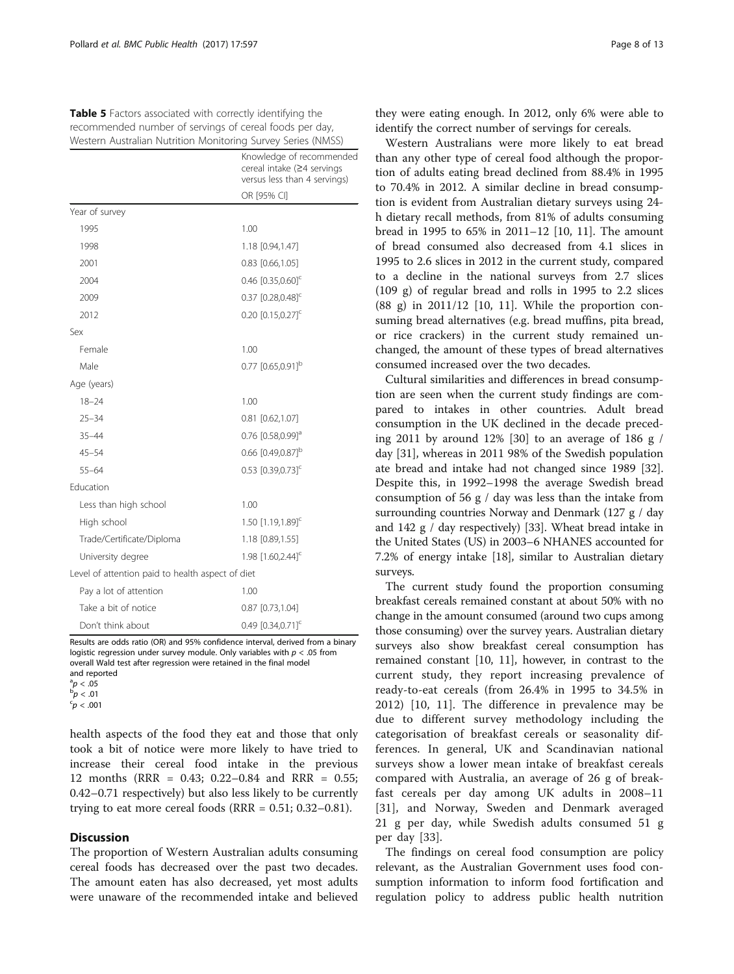<span id="page-7-0"></span>Table 5 Factors associated with correctly identifying the recommended number of servings of cereal foods per day, Western Australian Nutrition Monitoring Survey Series (NMSS)

|                                                  | Knowledge of recommended<br>cereal intake (≥4 servings<br>versus less than 4 servings) |
|--------------------------------------------------|----------------------------------------------------------------------------------------|
|                                                  | OR [95% CI]                                                                            |
| Year of survey                                   |                                                                                        |
| 1995                                             | 1.00                                                                                   |
| 1998                                             | 1.18 [0.94,1.47]                                                                       |
| 2001                                             | $0.83$ [0.66,1.05]                                                                     |
| 2004                                             | 0.46 $[0.35, 0.60]$ <sup>c</sup>                                                       |
| 2009                                             | $0.37$ [0.28,0.48] <sup>c</sup>                                                        |
| 2012                                             | $0.20$ [0.15,0.27] <sup>c</sup>                                                        |
| Sex                                              |                                                                                        |
| Female                                           | 1.00                                                                                   |
| Male                                             | $0.77$ [0.65,0.91] <sup>b</sup>                                                        |
| Age (years)                                      |                                                                                        |
| $18 - 24$                                        | 1.00                                                                                   |
| $25 - 34$                                        | 0.81 [0.62,1.07]                                                                       |
| $35 - 44$                                        | $0.76$ [0.58,0.99] <sup>a</sup>                                                        |
| $45 - 54$                                        | 0.66 [0.49,0.87] <sup>b</sup>                                                          |
| $55 - 64$                                        | $0.53$ [0.39,0.73] <sup>c</sup>                                                        |
| Education                                        |                                                                                        |
| Less than high school                            | 1.00                                                                                   |
| High school                                      | 1.50 [1.19,1.89] <sup>c</sup>                                                          |
| Trade/Certificate/Diploma                        | 1.18 [0.89,1.55]                                                                       |
| University degree                                | $1.98$ [1.60,2.44] <sup>c</sup>                                                        |
| Level of attention paid to health aspect of diet |                                                                                        |
| Pay a lot of attention                           | 1.00                                                                                   |
| Take a bit of notice                             | $0.87$ [0.73,1.04]                                                                     |
| Don't think about                                | $0.49$ $[0.34, 0.71]$ <sup>c</sup>                                                     |

Results are odds ratio (OR) and 95% confidence interval, derived from a binary logistic regression under survey module. Only variables with  $p < .05$  from overall Wald test after regression were retained in the final model and reported

 ${}^{a}p < .05$ 

 $^{\rm b}p < .01$ 

 ${}^c p < .001$ 

health aspects of the food they eat and those that only took a bit of notice were more likely to have tried to increase their cereal food intake in the previous 12 months (RRR = 0.43; 0.22–0.84 and RRR = 0.55; 0.42–0.71 respectively) but also less likely to be currently trying to eat more cereal foods ( $RRR = 0.51$ ;  $0.32-0.81$ ).

## **Discussion**

The proportion of Western Australian adults consuming cereal foods has decreased over the past two decades. The amount eaten has also decreased, yet most adults were unaware of the recommended intake and believed they were eating enough. In 2012, only 6% were able to identify the correct number of servings for cereals.

Western Australians were more likely to eat bread than any other type of cereal food although the proportion of adults eating bread declined from 88.4% in 1995 to 70.4% in 2012. A similar decline in bread consumption is evident from Australian dietary surveys using 24 h dietary recall methods, from 81% of adults consuming bread in 1995 to 65% in 2011–12 [[10](#page-11-0), [11](#page-11-0)]. The amount of bread consumed also decreased from 4.1 slices in 1995 to 2.6 slices in 2012 in the current study, compared to a decline in the national surveys from 2.7 slices (109 g) of regular bread and rolls in 1995 to 2.2 slices (88 g) in 2011/12 [\[10, 11](#page-11-0)]. While the proportion consuming bread alternatives (e.g. bread muffins, pita bread, or rice crackers) in the current study remained unchanged, the amount of these types of bread alternatives consumed increased over the two decades.

Cultural similarities and differences in bread consumption are seen when the current study findings are compared to intakes in other countries. Adult bread consumption in the UK declined in the decade preced-ing 2011 by around 12% [[30](#page-11-0)] to an average of 186 g  $/$ day [[31\]](#page-11-0), whereas in 2011 98% of the Swedish population ate bread and intake had not changed since 1989 [\[32](#page-11-0)]. Despite this, in 1992–1998 the average Swedish bread consumption of 56 g  $/$  day was less than the intake from surrounding countries Norway and Denmark (127 g / day and 142 g / day respectively) [[33\]](#page-11-0). Wheat bread intake in the United States (US) in 2003–6 NHANES accounted for 7.2% of energy intake [\[18](#page-11-0)], similar to Australian dietary surveys.

The current study found the proportion consuming breakfast cereals remained constant at about 50% with no change in the amount consumed (around two cups among those consuming) over the survey years. Australian dietary surveys also show breakfast cereal consumption has remained constant [[10](#page-11-0), [11](#page-11-0)], however, in contrast to the current study, they report increasing prevalence of ready-to-eat cereals (from 26.4% in 1995 to 34.5% in 2012) [[10, 11](#page-11-0)]. The difference in prevalence may be due to different survey methodology including the categorisation of breakfast cereals or seasonality differences. In general, UK and Scandinavian national surveys show a lower mean intake of breakfast cereals compared with Australia, an average of 26 g of breakfast cereals per day among UK adults in 2008–11 [[31\]](#page-11-0), and Norway, Sweden and Denmark averaged 21 g per day, while Swedish adults consumed 51 g per day [[33\]](#page-11-0).

The findings on cereal food consumption are policy relevant, as the Australian Government uses food consumption information to inform food fortification and regulation policy to address public health nutrition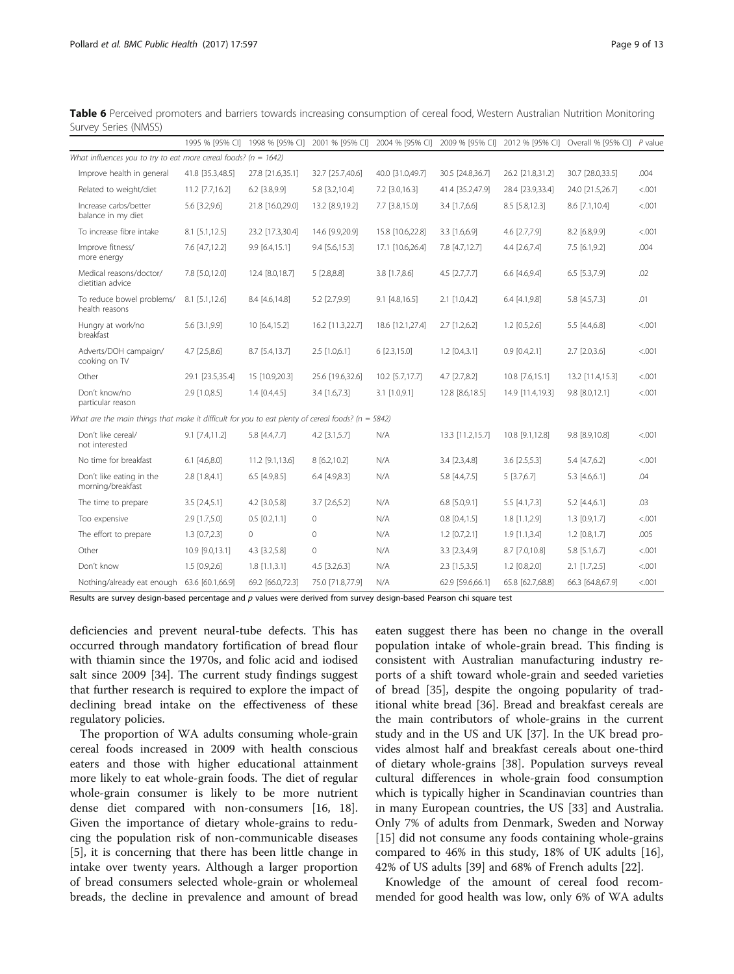<span id="page-8-0"></span>

| Table 6 Perceived promoters and barriers towards increasing consumption of cereal food, Western Australian Nutrition Monitoring |  |  |
|---------------------------------------------------------------------------------------------------------------------------------|--|--|
| Survey Series (NMSS)                                                                                                            |  |  |

| What influences you to try to eat more cereal foods? ( $n = 1642$ )<br>40.0 [31.0,49.7]<br>Improve health in general<br>41.8 [35.3,48.5]<br>27.8 [21.6,35.1]<br>32.7 [25.7,40.6]<br>30.5 [24.8,36.7]<br>26.2 [21.8,31.2]<br>30.7 [28.0,33.5]<br>.004<br>Related to weight/diet<br>11.2 [7.7,16.2]<br>6.2 [3.8,9.9]<br>5.8 [3.2,10.4]<br>7.2 [3.0,16.3]<br>41.4 [35.2,47.9]<br>28.4 [23.9,33.4]<br>24.0 [21.5,26.7]<br>< .001<br>Increase carbs/better<br>5.6 [3.2,9.6]<br>21.8 [16.0,29.0]<br>13.2 [8.9,19.2]<br>7.7 [3.8,15.0]<br>8.5 [5.8,12.3]<br>< .001<br>3.4 [1.7,6.6]<br>8.6 [7.1,10.4]<br>balance in my diet<br>To increase fibre intake<br>8.1 [5.1,12.5]<br>23.2 [17.3,30.4]<br>14.6 [9.9,20.9]<br>15.8 [10.6,22.8]<br>3.3 [1.6,6.9]<br>4.6 [2.7,7.9]<br>8.2 [6.8,9.9]<br>< .001<br>Improve fitness/<br>7.6 [4.7,12.2]<br>9.9 [6.4,15.1]<br>7.8 [4.7,12.7]<br>.004<br>$9.4$ [5.6,15.3]<br>17.1 [10.6,26.4]<br>4.4 [2.6,7.4]<br>7.5 [6.1,9.2]<br>more energy<br>Medical reasons/doctor/<br>7.8 [5.0,12.0]<br>12.4 [8.0,18.7]<br>5[2.8,8.8]<br>3.8 [1.7,8.6]<br>4.5 [2.7,7.7]<br>6.6 [4.6,9.4]<br>6.5 [5.3,7.9]<br>.02<br>dietitian advice<br>9.1 [4.8,16.5]<br>To reduce bowel problems/<br>8.1 [5.1,12.6]<br>8.4 [4.6,14.8]<br>5.2 [2.7,9.9]<br>2.1 [1.0,4.2]<br>$6.4$ [4.1,9.8]<br>5.8 [4.5,7.3]<br>.01<br>health reasons<br>5.6 [3.1,9.9]<br>< .001<br>Hungry at work/no<br>10 [6.4,15.2]<br>16.2 [11.3,22.7]<br>18.6 [12.1,27.4]<br>2.7 [1.2,6.2]<br>$1.2$ [0.5,2.6]<br>5.5 [4.4,6.8]<br>breakfast<br>Adverts/DOH campaign/<br>8.7 [5.4,13.7]<br>$6$ [2.3,15.0]<br>$1.2$ [0.4,3.1]<br>< 0.001<br>4.7 [2.5,8.6]<br>$2.5$ [1.0,6.1]<br>$0.9$ [0.4,2.1]<br>$2.7$ [2.0,3.6]<br>cooking on TV<br>Other<br>29.1 [23.5,35.4]<br>15 [10.9,20.3]<br>25.6 [19.6,32.6]<br>10.2 [5.7,17.7]<br>4.7 [2.7,8.2]<br>10.8 [7.6,15.1]<br>13.2 [11.4,15.3]<br>< .001<br>Don't know/no<br>< 0.001<br>2.9 [1.0,8.5]<br>$1.4$ [0.4,4.5]<br>$3.4$ [1.6,7.3]<br>$3.1$ [1.0,9.1]<br>12.8 [8.6,18.5]<br>14.9 [11.4,19.3]<br>9.8 [8.0,12.1]<br>particular reason<br>What are the main things that make it difficult for you to eat plenty of cereal foods? ( $n = 5842$ )<br>Don't like cereal/<br>9.1 [7.4,11.2]<br>N/A<br>< .001<br>5.8 [4.4,7.7]<br>$4.2$ [3.1,5.7]<br>13.3 [11.2,15.7]<br>10.8 [9.1,12.8]<br>9.8 [8.9,10.8]<br>not interested<br>N/A<br>No time for breakfast<br>$6.1$ [4.6,8.0]<br>11.2 [9.1,13.6]<br>8 [6.2,10.2]<br>3.4 [2.3,4.8]<br>3.6 [2.5,5.3]<br>5.4 [4.7,6.2]<br>< .001<br>N/A<br>Don't like eating in the<br>2.8 [1.8,4.1]<br>6.5 [4.9,8.5]<br>6.4 [4.9,8.3]<br>5.8 [4.4,7.5]<br>5[3.7,6.7]<br>5.3 [4.6,6.1]<br>.04<br>morning/breakfast<br>$3.5$ $[2.4,5.1]$<br>4.2 [3.0,5.8]<br>$3.7$ [2.6,5.2]<br>N/A<br>$6.8$ [5.0,9.1]<br>The time to prepare<br>5.5 [4.1,7.3]<br>$5.2$ [4.4,6.1]<br>.03<br>N/A<br>Too expensive<br>2.9 [1.7,5.0]<br>$0.5$ [0.2,1.1]<br>$\Omega$<br>$0.8$ [0.4,1.5]<br>1.8 [1.1,2.9]<br>$1.3$ [0.9,1.7]<br>< .001<br>$\circ$<br>$\Omega$<br>N/A<br>$1.9$ [1.1,3.4]<br>.005<br>The effort to prepare<br>$1.3$ [0.7,2.3]<br>$1.2$ [0.7,2.1]<br>$1.2$ [0.8,1.7]<br>Other<br>10.9 [9.0,13.1]<br>4.3 [3.2,5.8]<br>N/A<br>3.3 [2.3,4.9]<br>< .001<br>$\Omega$<br>8.7 [7.0,10.8]<br>5.8 [5.1,6.7]<br>Don't know<br>$1.5$ [0.9,2.6]<br>$1.8$ [1.1,3.1]<br>4.5 [3.2,6.3]<br>N/A<br>$2.3$ [1.5,3.5]<br>$1.2$ [0.8,2.0]<br>$2.1$ [1.7,2.5]<br>< .001<br>69.2 [66.0,72.3]<br>N/A<br>< .001<br>Nothing/already eat enough 63.6 [60.1,66.9]<br>75.0 [71.8,77.9]<br>62.9 [59.6,66.1]<br>65.8 [62.7,68.8]<br>66.3 [64.8,67.9] |  | 1995 % [95% CI] 1998 % [95% CI] 2001 % [95% CI] 2004 % [95% CI] |  | 2009 % [95% CI] | 2012 % [95% CI] Overall % [95% CI] | $P$ value |
|---------------------------------------------------------------------------------------------------------------------------------------------------------------------------------------------------------------------------------------------------------------------------------------------------------------------------------------------------------------------------------------------------------------------------------------------------------------------------------------------------------------------------------------------------------------------------------------------------------------------------------------------------------------------------------------------------------------------------------------------------------------------------------------------------------------------------------------------------------------------------------------------------------------------------------------------------------------------------------------------------------------------------------------------------------------------------------------------------------------------------------------------------------------------------------------------------------------------------------------------------------------------------------------------------------------------------------------------------------------------------------------------------------------------------------------------------------------------------------------------------------------------------------------------------------------------------------------------------------------------------------------------------------------------------------------------------------------------------------------------------------------------------------------------------------------------------------------------------------------------------------------------------------------------------------------------------------------------------------------------------------------------------------------------------------------------------------------------------------------------------------------------------------------------------------------------------------------------------------------------------------------------------------------------------------------------------------------------------------------------------------------------------------------------------------------------------------------------------------------------------------------------------------------------------------------------------------------------------------------------------------------------------------------------------------------------------------------------------------------------------------------------------------------------------------------------------------------------------------------------------------------------------------------------------------------------------------------------------------------------------------------------------------------------------------------------------------------------------------------------------------------------------------------------------------------------------------------------------------------------------------------------------------------------------------------------------------------------------------------------------------------------------------------------------------------------------------------------------------------------------------------------------------------------------|--|-----------------------------------------------------------------|--|-----------------|------------------------------------|-----------|
|                                                                                                                                                                                                                                                                                                                                                                                                                                                                                                                                                                                                                                                                                                                                                                                                                                                                                                                                                                                                                                                                                                                                                                                                                                                                                                                                                                                                                                                                                                                                                                                                                                                                                                                                                                                                                                                                                                                                                                                                                                                                                                                                                                                                                                                                                                                                                                                                                                                                                                                                                                                                                                                                                                                                                                                                                                                                                                                                                                                                                                                                                                                                                                                                                                                                                                                                                                                                                                                                                                                                                   |  |                                                                 |  |                 |                                    |           |
|                                                                                                                                                                                                                                                                                                                                                                                                                                                                                                                                                                                                                                                                                                                                                                                                                                                                                                                                                                                                                                                                                                                                                                                                                                                                                                                                                                                                                                                                                                                                                                                                                                                                                                                                                                                                                                                                                                                                                                                                                                                                                                                                                                                                                                                                                                                                                                                                                                                                                                                                                                                                                                                                                                                                                                                                                                                                                                                                                                                                                                                                                                                                                                                                                                                                                                                                                                                                                                                                                                                                                   |  |                                                                 |  |                 |                                    |           |
|                                                                                                                                                                                                                                                                                                                                                                                                                                                                                                                                                                                                                                                                                                                                                                                                                                                                                                                                                                                                                                                                                                                                                                                                                                                                                                                                                                                                                                                                                                                                                                                                                                                                                                                                                                                                                                                                                                                                                                                                                                                                                                                                                                                                                                                                                                                                                                                                                                                                                                                                                                                                                                                                                                                                                                                                                                                                                                                                                                                                                                                                                                                                                                                                                                                                                                                                                                                                                                                                                                                                                   |  |                                                                 |  |                 |                                    |           |
|                                                                                                                                                                                                                                                                                                                                                                                                                                                                                                                                                                                                                                                                                                                                                                                                                                                                                                                                                                                                                                                                                                                                                                                                                                                                                                                                                                                                                                                                                                                                                                                                                                                                                                                                                                                                                                                                                                                                                                                                                                                                                                                                                                                                                                                                                                                                                                                                                                                                                                                                                                                                                                                                                                                                                                                                                                                                                                                                                                                                                                                                                                                                                                                                                                                                                                                                                                                                                                                                                                                                                   |  |                                                                 |  |                 |                                    |           |
|                                                                                                                                                                                                                                                                                                                                                                                                                                                                                                                                                                                                                                                                                                                                                                                                                                                                                                                                                                                                                                                                                                                                                                                                                                                                                                                                                                                                                                                                                                                                                                                                                                                                                                                                                                                                                                                                                                                                                                                                                                                                                                                                                                                                                                                                                                                                                                                                                                                                                                                                                                                                                                                                                                                                                                                                                                                                                                                                                                                                                                                                                                                                                                                                                                                                                                                                                                                                                                                                                                                                                   |  |                                                                 |  |                 |                                    |           |
|                                                                                                                                                                                                                                                                                                                                                                                                                                                                                                                                                                                                                                                                                                                                                                                                                                                                                                                                                                                                                                                                                                                                                                                                                                                                                                                                                                                                                                                                                                                                                                                                                                                                                                                                                                                                                                                                                                                                                                                                                                                                                                                                                                                                                                                                                                                                                                                                                                                                                                                                                                                                                                                                                                                                                                                                                                                                                                                                                                                                                                                                                                                                                                                                                                                                                                                                                                                                                                                                                                                                                   |  |                                                                 |  |                 |                                    |           |
|                                                                                                                                                                                                                                                                                                                                                                                                                                                                                                                                                                                                                                                                                                                                                                                                                                                                                                                                                                                                                                                                                                                                                                                                                                                                                                                                                                                                                                                                                                                                                                                                                                                                                                                                                                                                                                                                                                                                                                                                                                                                                                                                                                                                                                                                                                                                                                                                                                                                                                                                                                                                                                                                                                                                                                                                                                                                                                                                                                                                                                                                                                                                                                                                                                                                                                                                                                                                                                                                                                                                                   |  |                                                                 |  |                 |                                    |           |
|                                                                                                                                                                                                                                                                                                                                                                                                                                                                                                                                                                                                                                                                                                                                                                                                                                                                                                                                                                                                                                                                                                                                                                                                                                                                                                                                                                                                                                                                                                                                                                                                                                                                                                                                                                                                                                                                                                                                                                                                                                                                                                                                                                                                                                                                                                                                                                                                                                                                                                                                                                                                                                                                                                                                                                                                                                                                                                                                                                                                                                                                                                                                                                                                                                                                                                                                                                                                                                                                                                                                                   |  |                                                                 |  |                 |                                    |           |
|                                                                                                                                                                                                                                                                                                                                                                                                                                                                                                                                                                                                                                                                                                                                                                                                                                                                                                                                                                                                                                                                                                                                                                                                                                                                                                                                                                                                                                                                                                                                                                                                                                                                                                                                                                                                                                                                                                                                                                                                                                                                                                                                                                                                                                                                                                                                                                                                                                                                                                                                                                                                                                                                                                                                                                                                                                                                                                                                                                                                                                                                                                                                                                                                                                                                                                                                                                                                                                                                                                                                                   |  |                                                                 |  |                 |                                    |           |
|                                                                                                                                                                                                                                                                                                                                                                                                                                                                                                                                                                                                                                                                                                                                                                                                                                                                                                                                                                                                                                                                                                                                                                                                                                                                                                                                                                                                                                                                                                                                                                                                                                                                                                                                                                                                                                                                                                                                                                                                                                                                                                                                                                                                                                                                                                                                                                                                                                                                                                                                                                                                                                                                                                                                                                                                                                                                                                                                                                                                                                                                                                                                                                                                                                                                                                                                                                                                                                                                                                                                                   |  |                                                                 |  |                 |                                    |           |
|                                                                                                                                                                                                                                                                                                                                                                                                                                                                                                                                                                                                                                                                                                                                                                                                                                                                                                                                                                                                                                                                                                                                                                                                                                                                                                                                                                                                                                                                                                                                                                                                                                                                                                                                                                                                                                                                                                                                                                                                                                                                                                                                                                                                                                                                                                                                                                                                                                                                                                                                                                                                                                                                                                                                                                                                                                                                                                                                                                                                                                                                                                                                                                                                                                                                                                                                                                                                                                                                                                                                                   |  |                                                                 |  |                 |                                    |           |
|                                                                                                                                                                                                                                                                                                                                                                                                                                                                                                                                                                                                                                                                                                                                                                                                                                                                                                                                                                                                                                                                                                                                                                                                                                                                                                                                                                                                                                                                                                                                                                                                                                                                                                                                                                                                                                                                                                                                                                                                                                                                                                                                                                                                                                                                                                                                                                                                                                                                                                                                                                                                                                                                                                                                                                                                                                                                                                                                                                                                                                                                                                                                                                                                                                                                                                                                                                                                                                                                                                                                                   |  |                                                                 |  |                 |                                    |           |
|                                                                                                                                                                                                                                                                                                                                                                                                                                                                                                                                                                                                                                                                                                                                                                                                                                                                                                                                                                                                                                                                                                                                                                                                                                                                                                                                                                                                                                                                                                                                                                                                                                                                                                                                                                                                                                                                                                                                                                                                                                                                                                                                                                                                                                                                                                                                                                                                                                                                                                                                                                                                                                                                                                                                                                                                                                                                                                                                                                                                                                                                                                                                                                                                                                                                                                                                                                                                                                                                                                                                                   |  |                                                                 |  |                 |                                    |           |
|                                                                                                                                                                                                                                                                                                                                                                                                                                                                                                                                                                                                                                                                                                                                                                                                                                                                                                                                                                                                                                                                                                                                                                                                                                                                                                                                                                                                                                                                                                                                                                                                                                                                                                                                                                                                                                                                                                                                                                                                                                                                                                                                                                                                                                                                                                                                                                                                                                                                                                                                                                                                                                                                                                                                                                                                                                                                                                                                                                                                                                                                                                                                                                                                                                                                                                                                                                                                                                                                                                                                                   |  |                                                                 |  |                 |                                    |           |
|                                                                                                                                                                                                                                                                                                                                                                                                                                                                                                                                                                                                                                                                                                                                                                                                                                                                                                                                                                                                                                                                                                                                                                                                                                                                                                                                                                                                                                                                                                                                                                                                                                                                                                                                                                                                                                                                                                                                                                                                                                                                                                                                                                                                                                                                                                                                                                                                                                                                                                                                                                                                                                                                                                                                                                                                                                                                                                                                                                                                                                                                                                                                                                                                                                                                                                                                                                                                                                                                                                                                                   |  |                                                                 |  |                 |                                    |           |
|                                                                                                                                                                                                                                                                                                                                                                                                                                                                                                                                                                                                                                                                                                                                                                                                                                                                                                                                                                                                                                                                                                                                                                                                                                                                                                                                                                                                                                                                                                                                                                                                                                                                                                                                                                                                                                                                                                                                                                                                                                                                                                                                                                                                                                                                                                                                                                                                                                                                                                                                                                                                                                                                                                                                                                                                                                                                                                                                                                                                                                                                                                                                                                                                                                                                                                                                                                                                                                                                                                                                                   |  |                                                                 |  |                 |                                    |           |
|                                                                                                                                                                                                                                                                                                                                                                                                                                                                                                                                                                                                                                                                                                                                                                                                                                                                                                                                                                                                                                                                                                                                                                                                                                                                                                                                                                                                                                                                                                                                                                                                                                                                                                                                                                                                                                                                                                                                                                                                                                                                                                                                                                                                                                                                                                                                                                                                                                                                                                                                                                                                                                                                                                                                                                                                                                                                                                                                                                                                                                                                                                                                                                                                                                                                                                                                                                                                                                                                                                                                                   |  |                                                                 |  |                 |                                    |           |
|                                                                                                                                                                                                                                                                                                                                                                                                                                                                                                                                                                                                                                                                                                                                                                                                                                                                                                                                                                                                                                                                                                                                                                                                                                                                                                                                                                                                                                                                                                                                                                                                                                                                                                                                                                                                                                                                                                                                                                                                                                                                                                                                                                                                                                                                                                                                                                                                                                                                                                                                                                                                                                                                                                                                                                                                                                                                                                                                                                                                                                                                                                                                                                                                                                                                                                                                                                                                                                                                                                                                                   |  |                                                                 |  |                 |                                    |           |
|                                                                                                                                                                                                                                                                                                                                                                                                                                                                                                                                                                                                                                                                                                                                                                                                                                                                                                                                                                                                                                                                                                                                                                                                                                                                                                                                                                                                                                                                                                                                                                                                                                                                                                                                                                                                                                                                                                                                                                                                                                                                                                                                                                                                                                                                                                                                                                                                                                                                                                                                                                                                                                                                                                                                                                                                                                                                                                                                                                                                                                                                                                                                                                                                                                                                                                                                                                                                                                                                                                                                                   |  |                                                                 |  |                 |                                    |           |
|                                                                                                                                                                                                                                                                                                                                                                                                                                                                                                                                                                                                                                                                                                                                                                                                                                                                                                                                                                                                                                                                                                                                                                                                                                                                                                                                                                                                                                                                                                                                                                                                                                                                                                                                                                                                                                                                                                                                                                                                                                                                                                                                                                                                                                                                                                                                                                                                                                                                                                                                                                                                                                                                                                                                                                                                                                                                                                                                                                                                                                                                                                                                                                                                                                                                                                                                                                                                                                                                                                                                                   |  |                                                                 |  |                 |                                    |           |
|                                                                                                                                                                                                                                                                                                                                                                                                                                                                                                                                                                                                                                                                                                                                                                                                                                                                                                                                                                                                                                                                                                                                                                                                                                                                                                                                                                                                                                                                                                                                                                                                                                                                                                                                                                                                                                                                                                                                                                                                                                                                                                                                                                                                                                                                                                                                                                                                                                                                                                                                                                                                                                                                                                                                                                                                                                                                                                                                                                                                                                                                                                                                                                                                                                                                                                                                                                                                                                                                                                                                                   |  |                                                                 |  |                 |                                    |           |
|                                                                                                                                                                                                                                                                                                                                                                                                                                                                                                                                                                                                                                                                                                                                                                                                                                                                                                                                                                                                                                                                                                                                                                                                                                                                                                                                                                                                                                                                                                                                                                                                                                                                                                                                                                                                                                                                                                                                                                                                                                                                                                                                                                                                                                                                                                                                                                                                                                                                                                                                                                                                                                                                                                                                                                                                                                                                                                                                                                                                                                                                                                                                                                                                                                                                                                                                                                                                                                                                                                                                                   |  |                                                                 |  |                 |                                    |           |

Results are survey design-based percentage and  $p$  values were derived from survey design-based Pearson chi square test

deficiencies and prevent neural-tube defects. This has occurred through mandatory fortification of bread flour with thiamin since the 1970s, and folic acid and iodised salt since 2009 [[34](#page-11-0)]. The current study findings suggest that further research is required to explore the impact of declining bread intake on the effectiveness of these regulatory policies.

The proportion of WA adults consuming whole-grain cereal foods increased in 2009 with health conscious eaters and those with higher educational attainment more likely to eat whole-grain foods. The diet of regular whole-grain consumer is likely to be more nutrient dense diet compared with non-consumers [\[16](#page-11-0), [18](#page-11-0)]. Given the importance of dietary whole-grains to reducing the population risk of non-communicable diseases [[5\]](#page-11-0), it is concerning that there has been little change in intake over twenty years. Although a larger proportion of bread consumers selected whole-grain or wholemeal breads, the decline in prevalence and amount of bread

eaten suggest there has been no change in the overall population intake of whole-grain bread. This finding is consistent with Australian manufacturing industry reports of a shift toward whole-grain and seeded varieties of bread [[35\]](#page-11-0), despite the ongoing popularity of traditional white bread [[36\]](#page-11-0). Bread and breakfast cereals are the main contributors of whole-grains in the current study and in the US and UK [[37](#page-11-0)]. In the UK bread provides almost half and breakfast cereals about one-third of dietary whole-grains [\[38](#page-12-0)]. Population surveys reveal cultural differences in whole-grain food consumption which is typically higher in Scandinavian countries than in many European countries, the US [\[33](#page-11-0)] and Australia. Only 7% of adults from Denmark, Sweden and Norway [[15\]](#page-11-0) did not consume any foods containing whole-grains compared to 46% in this study, 18% of UK adults [\[16](#page-11-0)], 42% of US adults [\[39\]](#page-12-0) and 68% of French adults [\[22](#page-11-0)].

Knowledge of the amount of cereal food recommended for good health was low, only 6% of WA adults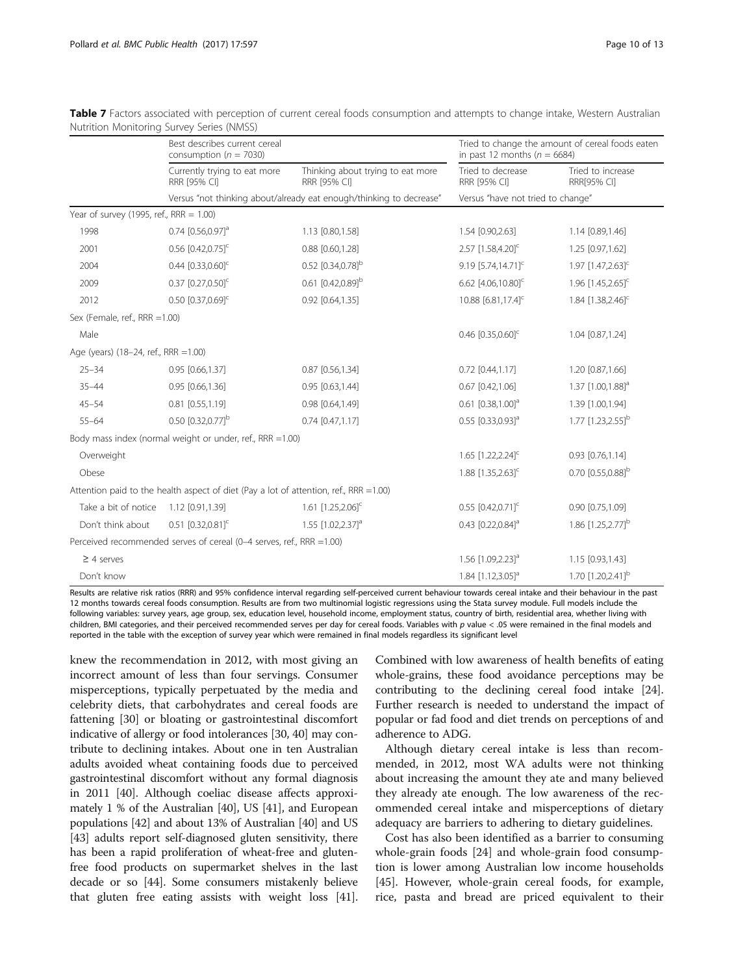|                                         | Best describes current cereal<br>consumption ( $n = 7030$ )                           |                                                                     | Tried to change the amount of cereal foods eaten<br>in past 12 months ( $n = 6684$ ) |                                         |  |
|-----------------------------------------|---------------------------------------------------------------------------------------|---------------------------------------------------------------------|--------------------------------------------------------------------------------------|-----------------------------------------|--|
|                                         | Currently trying to eat more<br>RRR [95% CI]                                          | Thinking about trying to eat more<br>RRR [95% CI]                   | Tried to decrease<br>RRR [95% CI]                                                    | Tried to increase<br><b>RRR[95% CI]</b> |  |
|                                         |                                                                                       | Versus "not thinking about/already eat enough/thinking to decrease" | Versus "have not tried to change"                                                    |                                         |  |
| Year of survey (1995, ref., RRR = 1.00) |                                                                                       |                                                                     |                                                                                      |                                         |  |
| 1998                                    | $0.74$ [0.56,0.97] <sup>a</sup>                                                       | 1.13 [0.80,1.58]                                                    | 1.54 [0.90,2.63]                                                                     | 1.14 [0.89,1.46]                        |  |
| 2001                                    | $0.56$ $[0.42, 0.75]$ <sup>c</sup>                                                    | 0.88 [0.60,1.28]                                                    | 2.57 $[1.58, 4.20]$ <sup>c</sup>                                                     | 1.25 [0.97,1.62]                        |  |
| 2004                                    | $0.44$ [0.33,0.60] <sup>c</sup>                                                       | $0.52$ [0.34,0.78] <sup>b</sup>                                     | 9.19 $[5.74, 14.71]$ <sup>c</sup>                                                    | 1.97 $[1.47,2.63]$ <sup>c</sup>         |  |
| 2009                                    | $0.37$ [0.27,0.50] <sup>c</sup>                                                       | $0.61$ [0.42,0.89] <sup>b</sup>                                     | 6.62 $[4.06, 10.80]$ <sup>c</sup>                                                    | 1.96 $[1.45, 2.65]$ <sup>c</sup>        |  |
| 2012                                    | $0.50$ $[0.37, 0.69]$ <sup>c</sup>                                                    | 0.92 [0.64,1.35]                                                    | 10.88 [6.81,17.4] <sup>c</sup>                                                       | 1.84 [1.38,2.46] <sup>c</sup>           |  |
| Sex (Female, ref., RRR = $1.00$ )       |                                                                                       |                                                                     |                                                                                      |                                         |  |
| Male                                    |                                                                                       |                                                                     | 0.46 $[0.35, 0.60]$ <sup>c</sup>                                                     | 1.04 [0.87,1.24]                        |  |
| Age (years) (18-24, ref., RRR =1.00)    |                                                                                       |                                                                     |                                                                                      |                                         |  |
| $25 - 34$                               | 0.95 [0.66,1.37]                                                                      | 0.87 [0.56,1.34]                                                    | $0.72$ [0.44,1.17]                                                                   | 1.20 [0.87,1.66]                        |  |
| $35 - 44$                               | 0.95 [0.66,1.36]                                                                      | 0.95 [0.63,1.44]                                                    | $0.67$ $[0.42, 1.06]$                                                                | $1.37$ $[1.00, 1.88]$ <sup>a</sup>      |  |
| $45 - 54$                               | $0.81$ [0.55,1.19]                                                                    | 0.98 [0.64,1.49]                                                    | $0.61$ $[0.38, 1.00]$ <sup>a</sup>                                                   | 1.39 [1.00,1.94]                        |  |
| $55 - 64$                               | $0.50$ [0.32,0.77] <sup>b</sup>                                                       | $0.74$ [0.47,1.17]                                                  | 0.55 [0.33,0.93] <sup>a</sup>                                                        | 1.77 $[1.23, 2.55]$ <sup>b</sup>        |  |
|                                         | Body mass index (normal weight or under, ref., RRR = 1.00)                            |                                                                     |                                                                                      |                                         |  |
| Overweight                              |                                                                                       |                                                                     | 1.65 $[1.22, 2.24]$ <sup>c</sup>                                                     | $0.93$ $[0.76, 1.14]$                   |  |
| Obese                                   |                                                                                       |                                                                     | 1.88 [1.35,2.63] <sup>c</sup>                                                        | $0.70$ [0.55,0.88] <sup>b</sup>         |  |
|                                         | Attention paid to the health aspect of diet (Pay a lot of attention, ref., RRR =1.00) |                                                                     |                                                                                      |                                         |  |
| Take a bit of notice                    | 1.12 [0.91,1.39]                                                                      | 1.61 $[1.25, 2.06]$ <sup>c</sup>                                    | $0.55$ $[0.42, 0.71]$ <sup>c</sup>                                                   | 0.90 [0.75,1.09]                        |  |
| Don't think about                       | $0.51$ $[0.32, 0.81]$ <sup>c</sup>                                                    | 1.55 $[1.02, 2.37]$ <sup>a</sup>                                    | $0.43$ $[0.22, 0.84]$ <sup>a</sup>                                                   | 1.86 [1.25,2.77] <sup>b</sup>           |  |
|                                         | Perceived recommended serves of cereal (0-4 serves, ref., RRR =1.00)                  |                                                                     |                                                                                      |                                         |  |
| $\geq$ 4 serves                         |                                                                                       |                                                                     | 1.56 $[1.09, 2.23]$ <sup>a</sup>                                                     | 1.15 [0.93,1.43]                        |  |
| Don't know                              |                                                                                       |                                                                     | 1.84 [1.12,3.05] <sup>a</sup>                                                        | 1.70 [1.20,2.41] <sup>b</sup>           |  |

<span id="page-9-0"></span>Table 7 Factors associated with perception of current cereal foods consumption and attempts to change intake, Western Australian Nutrition Monitoring Survey Series (NMSS)

Results are relative risk ratios (RRR) and 95% confidence interval regarding self-perceived current behaviour towards cereal intake and their behaviour in the past 12 months towards cereal foods consumption. Results are from two multinomial logistic regressions using the Stata survey module. Full models include the following variables: survey years, age group, sex, education level, household income, employment status, country of birth, residential area, whether living with children, BMI categories, and their perceived recommended serves per day for cereal foods. Variables with p value < .05 were remained in the final models and reported in the table with the exception of survey year which were remained in final models regardless its significant level

knew the recommendation in 2012, with most giving an incorrect amount of less than four servings. Consumer misperceptions, typically perpetuated by the media and celebrity diets, that carbohydrates and cereal foods are fattening [\[30\]](#page-11-0) or bloating or gastrointestinal discomfort indicative of allergy or food intolerances [\[30,](#page-11-0) [40](#page-12-0)] may contribute to declining intakes. About one in ten Australian adults avoided wheat containing foods due to perceived gastrointestinal discomfort without any formal diagnosis in 2011 [\[40\]](#page-12-0). Although coeliac disease affects approximately 1 % of the Australian [\[40](#page-12-0)], US [\[41\]](#page-12-0), and European populations [\[42](#page-12-0)] and about 13% of Australian [\[40\]](#page-12-0) and US [[43](#page-12-0)] adults report self-diagnosed gluten sensitivity, there has been a rapid proliferation of wheat-free and glutenfree food products on supermarket shelves in the last decade or so [[44](#page-12-0)]. Some consumers mistakenly believe that gluten free eating assists with weight loss [[41](#page-12-0)].

Combined with low awareness of health benefits of eating whole-grains, these food avoidance perceptions may be contributing to the declining cereal food intake [[24](#page-11-0)]. Further research is needed to understand the impact of popular or fad food and diet trends on perceptions of and adherence to ADG.

Although dietary cereal intake is less than recommended, in 2012, most WA adults were not thinking about increasing the amount they ate and many believed they already ate enough. The low awareness of the recommended cereal intake and misperceptions of dietary adequacy are barriers to adhering to dietary guidelines.

Cost has also been identified as a barrier to consuming whole-grain foods [[24](#page-11-0)] and whole-grain food consumption is lower among Australian low income households [[45\]](#page-12-0). However, whole-grain cereal foods, for example, rice, pasta and bread are priced equivalent to their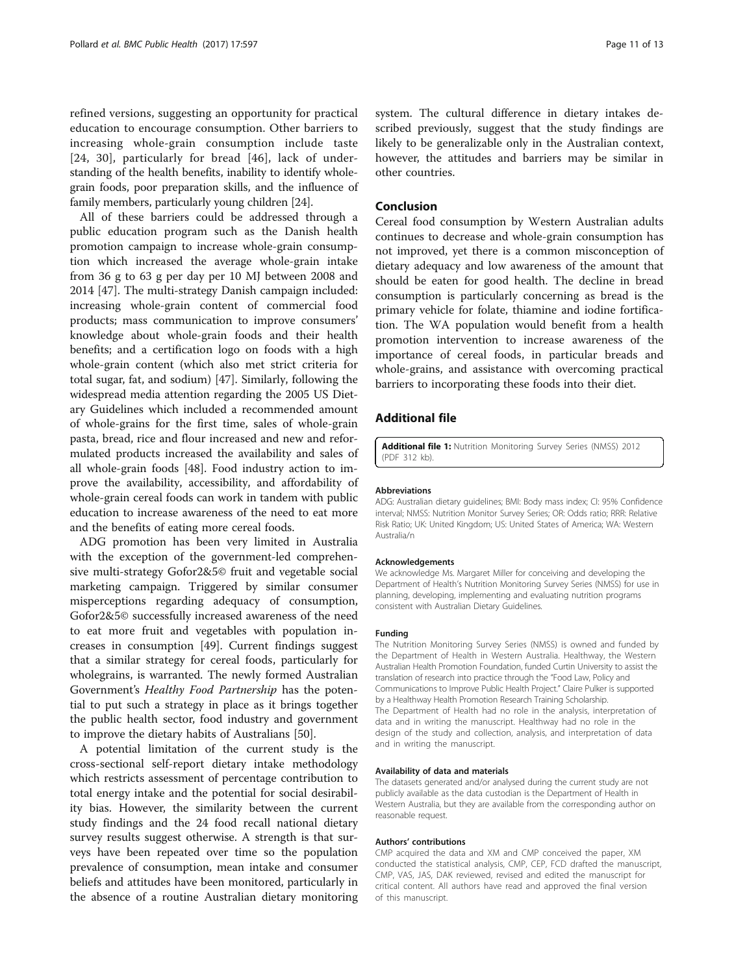<span id="page-10-0"></span>refined versions, suggesting an opportunity for practical education to encourage consumption. Other barriers to increasing whole-grain consumption include taste [[24](#page-11-0), [30](#page-11-0)], particularly for bread [\[46](#page-12-0)], lack of understanding of the health benefits, inability to identify wholegrain foods, poor preparation skills, and the influence of family members, particularly young children [\[24\]](#page-11-0).

All of these barriers could be addressed through a public education program such as the Danish health promotion campaign to increase whole-grain consumption which increased the average whole-grain intake from 36 g to 63 g per day per 10 MJ between 2008 and 2014 [\[47](#page-12-0)]. The multi-strategy Danish campaign included: increasing whole-grain content of commercial food products; mass communication to improve consumers' knowledge about whole-grain foods and their health benefits; and a certification logo on foods with a high whole-grain content (which also met strict criteria for total sugar, fat, and sodium) [[47\]](#page-12-0). Similarly, following the widespread media attention regarding the 2005 US Dietary Guidelines which included a recommended amount of whole-grains for the first time, sales of whole-grain pasta, bread, rice and flour increased and new and reformulated products increased the availability and sales of all whole-grain foods [[48](#page-12-0)]. Food industry action to improve the availability, accessibility, and affordability of whole-grain cereal foods can work in tandem with public education to increase awareness of the need to eat more and the benefits of eating more cereal foods.

ADG promotion has been very limited in Australia with the exception of the government-led comprehensive multi-strategy Gofor2&5© fruit and vegetable social marketing campaign. Triggered by similar consumer misperceptions regarding adequacy of consumption, Gofor2&5© successfully increased awareness of the need to eat more fruit and vegetables with population increases in consumption [[49](#page-12-0)]. Current findings suggest that a similar strategy for cereal foods, particularly for wholegrains, is warranted. The newly formed Australian Government's Healthy Food Partnership has the potential to put such a strategy in place as it brings together the public health sector, food industry and government to improve the dietary habits of Australians [[50](#page-12-0)].

A potential limitation of the current study is the cross-sectional self-report dietary intake methodology which restricts assessment of percentage contribution to total energy intake and the potential for social desirability bias. However, the similarity between the current study findings and the 24 food recall national dietary survey results suggest otherwise. A strength is that surveys have been repeated over time so the population prevalence of consumption, mean intake and consumer beliefs and attitudes have been monitored, particularly in the absence of a routine Australian dietary monitoring

system. The cultural difference in dietary intakes described previously, suggest that the study findings are likely to be generalizable only in the Australian context, however, the attitudes and barriers may be similar in other countries.

## Conclusion

Cereal food consumption by Western Australian adults continues to decrease and whole-grain consumption has not improved, yet there is a common misconception of dietary adequacy and low awareness of the amount that should be eaten for good health. The decline in bread consumption is particularly concerning as bread is the primary vehicle for folate, thiamine and iodine fortification. The WA population would benefit from a health promotion intervention to increase awareness of the importance of cereal foods, in particular breads and whole-grains, and assistance with overcoming practical barriers to incorporating these foods into their diet.

### Additional file

[Additional file 1:](dx.doi.org/10.1186/s12889-017-4511-5) Nutrition Monitoring Survey Series (NMSS) 2012 (PDF 312 kb).

#### Abbreviations

ADG: Australian dietary guidelines; BMI: Body mass index; CI: 95% Confidence interval; NMSS: Nutrition Monitor Survey Series; OR: Odds ratio; RRR: Relative Risk Ratio; UK: United Kingdom; US: United States of America; WA: Western Australia/n

#### Acknowledgements

We acknowledge Ms. Margaret Miller for conceiving and developing the Department of Health's Nutrition Monitoring Survey Series (NMSS) for use in planning, developing, implementing and evaluating nutrition programs consistent with Australian Dietary Guidelines.

#### Funding

The Nutrition Monitoring Survey Series (NMSS) is owned and funded by the Department of Health in Western Australia. Healthway, the Western Australian Health Promotion Foundation, funded Curtin University to assist the translation of research into practice through the "Food Law, Policy and Communications to Improve Public Health Project." Claire Pulker is supported by a Healthway Health Promotion Research Training Scholarship. The Department of Health had no role in the analysis, interpretation of data and in writing the manuscript. Healthway had no role in the design of the study and collection, analysis, and interpretation of data and in writing the manuscript.

#### Availability of data and materials

The datasets generated and/or analysed during the current study are not publicly available as the data custodian is the Department of Health in Western Australia, but they are available from the corresponding author on reasonable request.

#### Authors' contributions

CMP acquired the data and XM and CMP conceived the paper, XM conducted the statistical analysis, CMP, CEP, FCD drafted the manuscript, CMP, VAS, JAS, DAK reviewed, revised and edited the manuscript for critical content. All authors have read and approved the final version of this manuscript.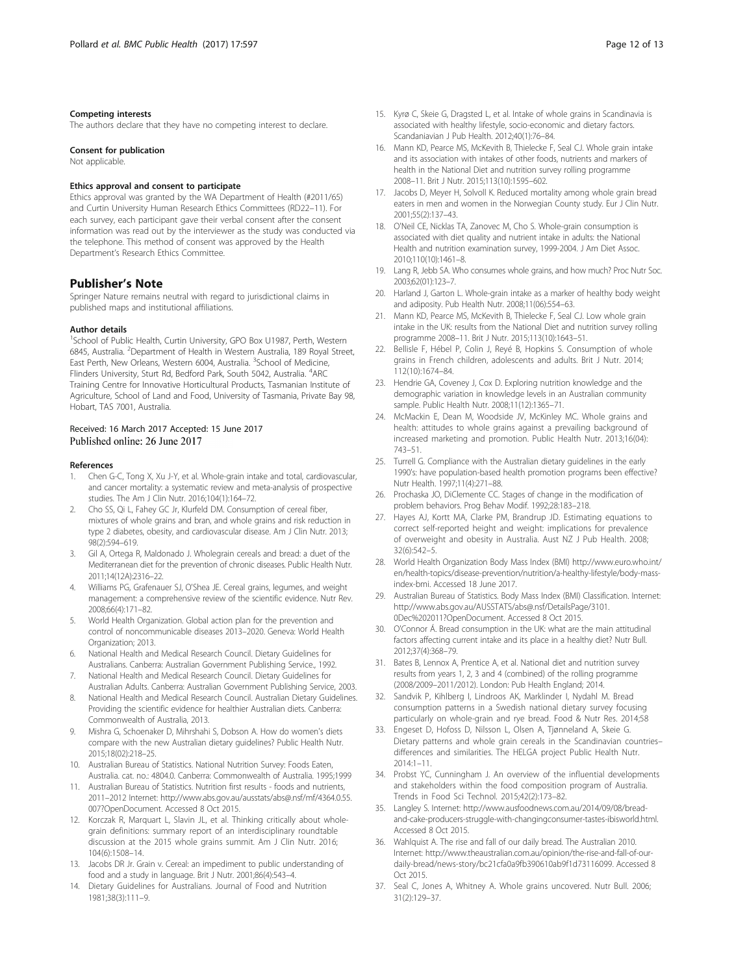#### <span id="page-11-0"></span>Competing interests

The authors declare that they have no competing interest to declare.

#### Consent for publication

Not applicable.

### Ethics approval and consent to participate

Ethics approval was granted by the WA Department of Health (#2011/65) and Curtin University Human Research Ethics Committees (RD22–11). For each survey, each participant gave their verbal consent after the consent information was read out by the interviewer as the study was conducted via the telephone. This method of consent was approved by the Health Department's Research Ethics Committee.

#### Publisher's Note

Springer Nature remains neutral with regard to jurisdictional claims in published maps and institutional affiliations.

#### Author details

<sup>1</sup>School of Public Health, Curtin University, GPO Box U1987, Perth, Western 6845, Australia. <sup>2</sup>Department of Health in Western Australia, 189 Royal Street, East Perth, New Orleans, Western 6004, Australia. <sup>3</sup>School of Medicine, Flinders University, Sturt Rd, Bedford Park, South 5042, Australia. <sup>4</sup>ARC Training Centre for Innovative Horticultural Products, Tasmanian Institute of Agriculture, School of Land and Food, University of Tasmania, Private Bay 98, Hobart, TAS 7001, Australia.

### Received: 16 March 2017 Accepted: 15 June 2017 Published online: 26 June 2017

#### References

- 1. Chen G-C, Tong X, Xu J-Y, et al. Whole-grain intake and total, cardiovascular, and cancer mortality: a systematic review and meta-analysis of prospective studies. The Am J Clin Nutr. 2016;104(1):164–72.
- 2. Cho SS, Qi L, Fahey GC Jr, Klurfeld DM. Consumption of cereal fiber, mixtures of whole grains and bran, and whole grains and risk reduction in type 2 diabetes, obesity, and cardiovascular disease. Am J Clin Nutr. 2013; 98(2):594–619.
- 3. Gil A, Ortega R, Maldonado J. Wholegrain cereals and bread: a duet of the Mediterranean diet for the prevention of chronic diseases. Public Health Nutr. 2011;14(12A):2316–22.
- 4. Williams PG, Grafenauer SJ, O'Shea JE. Cereal grains, legumes, and weight management: a comprehensive review of the scientific evidence. Nutr Rev. 2008;66(4):171–82.
- 5. World Health Organization. Global action plan for the prevention and control of noncommunicable diseases 2013–2020. Geneva: World Health Organization; 2013.
- 6. National Health and Medical Research Council. Dietary Guidelines for Australians. Canberra: Australian Government Publishing Service., 1992.
- 7. National Health and Medical Research Council. Dietary Guidelines for Australian Adults. Canberra: Australian Government Publishing Service, 2003.
- National Health and Medical Research Council. Australian Dietary Guidelines. Providing the scientific evidence for healthier Australian diets. Canberra: Commonwealth of Australia, 2013.
- 9. Mishra G, Schoenaker D, Mihrshahi S, Dobson A. How do women's diets compare with the new Australian dietary guidelines? Public Health Nutr. 2015;18(02):218–25.
- 10. Australian Bureau of Statistics. National Nutrition Survey: Foods Eaten, Australia. cat. no.: 4804.0. Canberra: Commonwealth of Australia. 1995;1999
- 11. Australian Bureau of Statistics. Nutrition first results foods and nutrients, 2011–2012 Internet: [http://www.abs.gov.au/ausstats/abs@.nsf/mf/4364.0.55.](http://www.abs.gov.au/ausstats/abs@.nsf/mf/4364.0.55.007?OpenDocument) [007?OpenDocument.](http://www.abs.gov.au/ausstats/abs@.nsf/mf/4364.0.55.007?OpenDocument) Accessed 8 Oct 2015.
- 12. Korczak R, Marquart L, Slavin JL, et al. Thinking critically about wholegrain definitions: summary report of an interdisciplinary roundtable discussion at the 2015 whole grains summit. Am J Clin Nutr. 2016; 104(6):1508–14.
- 13. Jacobs DR Jr. Grain v. Cereal: an impediment to public understanding of food and a study in language. Brit J Nutr. 2001;86(4):543–4.
- 14. Dietary Guidelines for Australians. Journal of Food and Nutrition 1981;38(3):111–9.
- 15. Kyrø C, Skeie G, Dragsted L, et al. Intake of whole grains in Scandinavia is associated with healthy lifestyle, socio-economic and dietary factors. Scandaniavian J Pub Health. 2012;40(1):76–84.
- 16. Mann KD, Pearce MS, McKevith B, Thielecke F, Seal CJ. Whole grain intake and its association with intakes of other foods, nutrients and markers of health in the National Diet and nutrition survey rolling programme 2008–11. Brit J Nutr. 2015;113(10):1595–602.
- 17. Jacobs D, Meyer H, Solvoll K. Reduced mortality among whole grain bread eaters in men and women in the Norwegian County study. Eur J Clin Nutr. 2001;55(2):137–43.
- 18. O'Neil CE, Nicklas TA, Zanovec M, Cho S. Whole-grain consumption is associated with diet quality and nutrient intake in adults: the National Health and nutrition examination survey, 1999-2004. J Am Diet Assoc. 2010;110(10):1461–8.
- 19. Lang R, Jebb SA. Who consumes whole grains, and how much? Proc Nutr Soc. 2003;62(01):123–7.
- 20. Harland J, Garton L. Whole-grain intake as a marker of healthy body weight and adiposity. Pub Health Nutr. 2008;11(06):554–63.
- 21. Mann KD, Pearce MS, McKevith B, Thielecke F, Seal CJ. Low whole grain intake in the UK: results from the National Diet and nutrition survey rolling programme 2008–11. Brit J Nutr. 2015;113(10):1643–51.
- 22. Bellisle F, Hébel P, Colin J, Reyé B, Hopkins S. Consumption of whole grains in French children, adolescents and adults. Brit J Nutr. 2014; 112(10):1674–84.
- 23. Hendrie GA, Coveney J, Cox D. Exploring nutrition knowledge and the demographic variation in knowledge levels in an Australian community sample. Public Health Nutr. 2008;11(12):1365–71.
- 24. McMackin E, Dean M, Woodside JV, McKinley MC. Whole grains and health: attitudes to whole grains against a prevailing background of increased marketing and promotion. Public Health Nutr. 2013;16(04): 743–51.
- 25. Turrell G. Compliance with the Australian dietary guidelines in the early 1990's: have population-based health promotion programs been effective? Nutr Health. 1997;11(4):271–88.
- 26. Prochaska JO, DiClemente CC. Stages of change in the modification of problem behaviors. Prog Behav Modif. 1992;28:183–218.
- 27. Hayes AJ, Kortt MA, Clarke PM, Brandrup JD. Estimating equations to correct self-reported height and weight: implications for prevalence of overweight and obesity in Australia. Aust NZ J Pub Health. 2008; 32(6):542–5.
- 28. World Health Organization Body Mass Index (BMI) [http://www.euro.who.int/](http://www.euro.who.int/en/health-topics/disease-prevention/nutrition/a-healthy-lifestyle/body-mass-index-bmi) [en/health-topics/disease-prevention/nutrition/a-healthy-lifestyle/body-mass](http://www.euro.who.int/en/health-topics/disease-prevention/nutrition/a-healthy-lifestyle/body-mass-index-bmi)[index-bmi](http://www.euro.who.int/en/health-topics/disease-prevention/nutrition/a-healthy-lifestyle/body-mass-index-bmi). Accessed 18 June 2017.
- 29. Australian Bureau of Statistics. Body Mass Index (BMI) Classification. Internet: [http://www.abs.gov.au/AUSSTATS/abs@.nsf/DetailsPage/3101.](http://www.abs.gov.au/AUSSTATS/abs@.nsf/DetailsPage/3101.0Dec%202011?OpenDocument) [0Dec%202011?OpenDocument.](http://www.abs.gov.au/AUSSTATS/abs@.nsf/DetailsPage/3101.0Dec%202011?OpenDocument) Accessed 8 Oct 2015.
- 30. O'Connor Á. Bread consumption in the UK: what are the main attitudinal factors affecting current intake and its place in a healthy diet? Nutr Bull. 2012;37(4):368–79.
- 31. Bates B, Lennox A, Prentice A, et al. National diet and nutrition survey results from years 1, 2, 3 and 4 (combined) of the rolling programme (2008/2009–2011/2012). London: Pub Health England; 2014.
- 32. Sandvik P, Kihlberg I, Lindroos AK, Marklinder I, Nydahl M. Bread consumption patterns in a Swedish national dietary survey focusing particularly on whole-grain and rye bread. Food & Nutr Res. 2014;58
- 33. Engeset D, Hofoss D, Nilsson L, Olsen A, Tjønneland A, Skeie G. Dietary patterns and whole grain cereals in the Scandinavian countries– differences and similarities. The HELGA project Public Health Nutr. 2014:1–11.
- 34. Probst YC, Cunningham J. An overview of the influential developments and stakeholders within the food composition program of Australia. Trends in Food Sci Technol. 2015;42(2):173–82.
- 35. Langley S. Internet: [http://www.ausfoodnews.com.au/2014/09/08/bread](http://www.ausfoodnews.com.au/2014/09/08/bread-and-cake-producers-struggle-with-changingconsumer-tastes-ibisworld.html)[and-cake-producers-struggle-with-changingconsumer-tastes-ibisworld.html](http://www.ausfoodnews.com.au/2014/09/08/bread-and-cake-producers-struggle-with-changingconsumer-tastes-ibisworld.html). Accessed 8 Oct 2015.
- 36. Wahlquist A. The rise and fall of our daily bread. The Australian 2010. Internet: [http://www.theaustralian.com.au/opinion/the-rise-and-fall-of-our](http://www.theaustralian.com.au/opinion/the-rise-and-fall-of-our-daily-bread/news-story/bc21cfa0a9fb390610ab9f1d73116099)[daily-bread/news-story/bc21cfa0a9fb390610ab9f1d73116099.](http://www.theaustralian.com.au/opinion/the-rise-and-fall-of-our-daily-bread/news-story/bc21cfa0a9fb390610ab9f1d73116099) Accessed 8 Oct 2015.
- 37. Seal C, Jones A, Whitney A. Whole grains uncovered. Nutr Bull. 2006; 31(2):129–37.